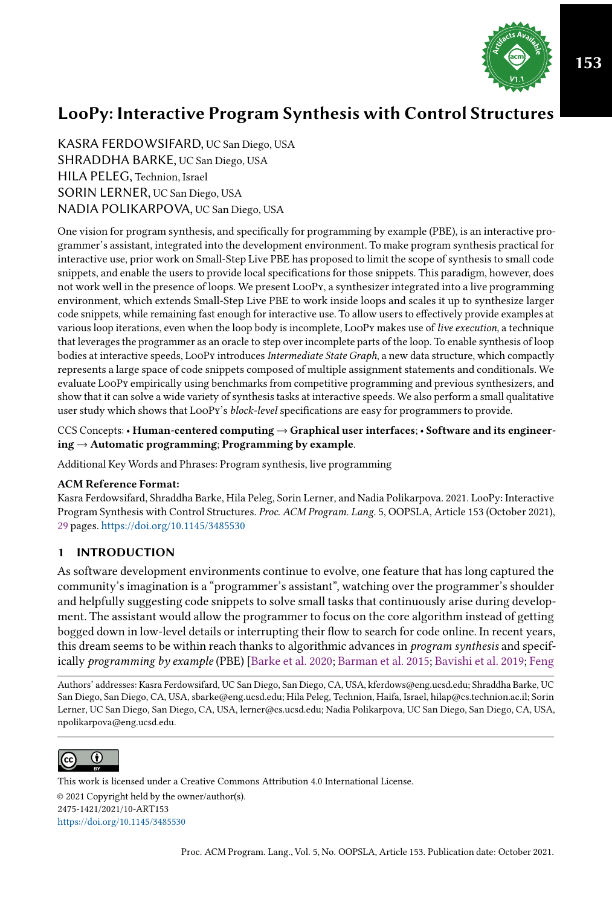

KASRA FERDOWSIFARD, UC San Diego, USA SHRADDHA BARKE, UC San Diego, USA HILA PELEG, Technion, Israel SORIN LERNER, UC San Diego, USA NADIA POLIKARPOVA, UC San Diego, USA

One vision for program synthesis, and specifically for programming by example (PBE), is an interactive programmer's assistant, integrated into the development environment. To make program synthesis practical for interactive use, prior work on Small-Step Live PBE has proposed to limit the scope of synthesis to small code snippets, and enable the users to provide local specifications for those snippets. This paradigm, however, does not work well in the presence of loops. We present LooPy, a synthesizer integrated into a live programming environment, which extends Small-Step Live PBE to work inside loops and scales it up to synthesize larger code snippets, while remaining fast enough for interactive use. To allow users to effectively provide examples at various loop iterations, even when the loop body is incomplete, LooPy makes use of live execution, a technique that leverages the programmer as an oracle to step over incomplete parts of the loop. To enable synthesis of loop bodies at interactive speeds, LooPy introduces Intermediate State Graph, a new data structure, which compactly represents a large space of code snippets composed of multiple assignment statements and conditionals. We evaluate LooPy empirically using benchmarks from competitive programming and previous synthesizers, and show that it can solve a wide variety of synthesis tasks at interactive speeds. We also perform a small qualitative user study which shows that LooPy's block-level specifications are easy for programmers to provide.

CCS Concepts: • Human-centered computing → Graphical user interfaces; • Software and its engineer $ing \rightarrow$  Automatic programming; Programming by example.

Additional Key Words and Phrases: Program synthesis, live programming

#### ACM Reference Format:

Kasra Ferdowsifard, Shraddha Barke, Hila Peleg, Sorin Lerner, and Nadia Polikarpova. 2021. LooPy: Interactive Program Synthesis with Control Structures. Proc. ACM Program. Lang. 5, OOPSLA, Article 153 (October 2021), [29](#page-28-0) pages. <https://doi.org/10.1145/3485530>

# 1 INTRODUCTION

As software development environments continue to evolve, one feature that has long captured the community's imagination is a "programmer's assistant", watching over the programmer's shoulder and helpfully suggesting code snippets to solve small tasks that continuously arise during development. The assistant would allow the programmer to focus on the core algorithm instead of getting bogged down in low-level details or interrupting their flow to search for code online. In recent years, this dream seems to be within reach thanks to algorithmic advances in program synthesis and specifically programming by example (PBE) [\[Barke et al.](#page-27-0) [2020;](#page-27-0) [Barman et al.](#page-27-1) [2015;](#page-27-1) [Bavishi et al.](#page-27-2) [2019;](#page-27-2) [Feng](#page-27-3)

[Authors' addresses: Kasra Ferdowsifard, UC San Diego, San Diego, CA, USA, kferdows@eng.ucsd.edu; Shraddha Barke, UC](#page-27-3) [San Diego, San Diego, CA, USA, sbarke@eng.ucsd.edu; Hila Peleg, Technion, Haifa, Israel, hilap@cs.technion.ac.il; Sorin](#page-27-3) [Lerner, UC San Diego, San Diego, CA, USA, lerner@cs.ucsd.edu; Nadia Polikarpova, UC San Diego, San Diego, CA, USA,](#page-27-3) [npolikarpova@eng.ucsd.edu.](#page-27-3)



[© 2021 Copyright held by the owner/author\(s\).](#page-27-3) [2475-1421/2021/10-ART153](#page-27-3) [https://doi.org/10.1145/3485530](#page-27-3) [This work is licensed under a Creative Commons Attribution 4.0 International License.](http://creativecommons.org/licenses/by/4.0/)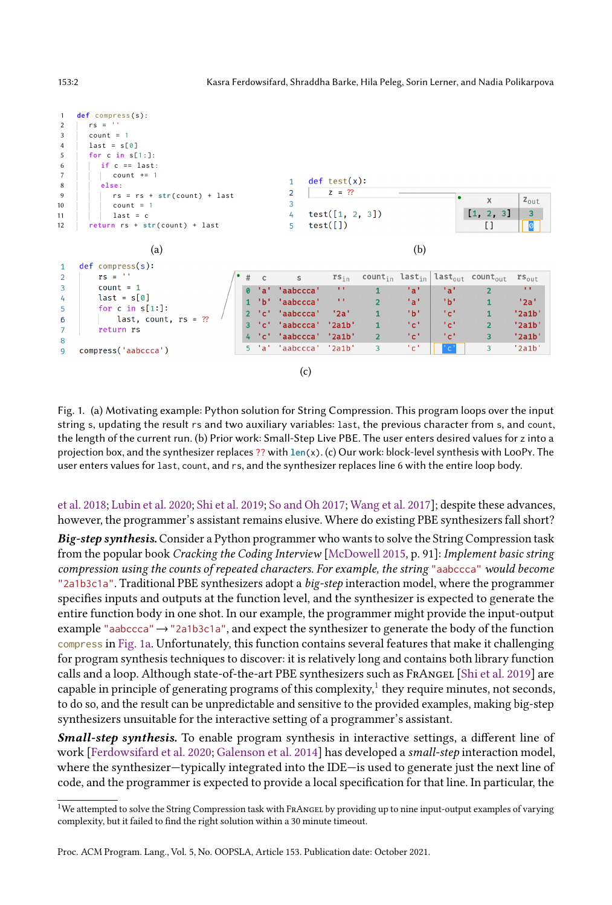

Fig. 1. (a) Motivating example: Python solution for String Compression. This program loops over the input string s, updating the result rs and two auxiliary variables: last, the previous character from s, and count, the length of the current run. (b) Prior work: Small-Step Live PBE. The user enters desired values for z into a projection box, and the synthesizer replaces ?? with **len**(x). (c) Our work: block-level synthesis with LooPy. The user enters values for last, count, and rs, and the synthesizer replaces line 6 with the entire loop body.

[et al.](#page-27-3) [2018;](#page-27-3) [Lubin et al.](#page-28-1) [2020;](#page-28-1) [Shi et al.](#page-28-2) [2019;](#page-28-2) [So and Oh 2017;](#page-28-3) [Wang et al.](#page-28-4) [2017\]](#page-28-4); despite these advances, however, the programmer's assistant remains elusive. Where do existing PBE synthesizers fall short?

Big-step synthesis. Consider a Python programmer who wants to solve the String Compression task from the popular book Cracking the Coding Interview [\[McDowell 2015,](#page-28-5) p. 91]: Implement basic string compression using the counts of repeated characters. For example, the string "aabccca" would become "2a1b3c1a". Traditional PBE synthesizers adopt a big-step interaction model, where the programmer specifies inputs and outputs at the function level, and the synthesizer is expected to generate the entire function body in one shot. In our example, the programmer might provide the input-output example "aabccca" → "2a1b3c1a", and expect the synthesizer to generate the body of the function compress in [Fig. 1a.](#page-1-0) Unfortunately, this function contains several features that make it challenging for program synthesis techniques to discover: it is relatively long and contains both library function calls and a loop. Although state-of-the-art PBE synthesizers such as FRANGEL [\[Shi et al.](#page-28-2) [2019\]](#page-28-2) are capable in principle of generating programs of this complexity, $^1$  $^1$  they require minutes, not seconds, to do so, and the result can be unpredictable and sensitive to the provided examples, making big-step synthesizers unsuitable for the interactive setting of a programmer's assistant.

Small-step synthesis. To enable program synthesis in interactive settings, a different line of work [\[Ferdowsifard et al.](#page-27-4) [2020;](#page-27-4) [Galenson et al.](#page-27-5) [2014\]](#page-27-5) has developed a small-step interaction model, where the synthesizer-typically integrated into the IDE-is used to generate just the next line of code, and the programmer is expected to provide a local specification for that line. In particular, the

<span id="page-1-0"></span>

<span id="page-1-1"></span><sup>&</sup>lt;sup>1</sup>We attempted to solve the String Compression task with FRANGEL by providing up to nine input-output examples of varying complexity, but it failed to find the right solution within a 30 minute timeout.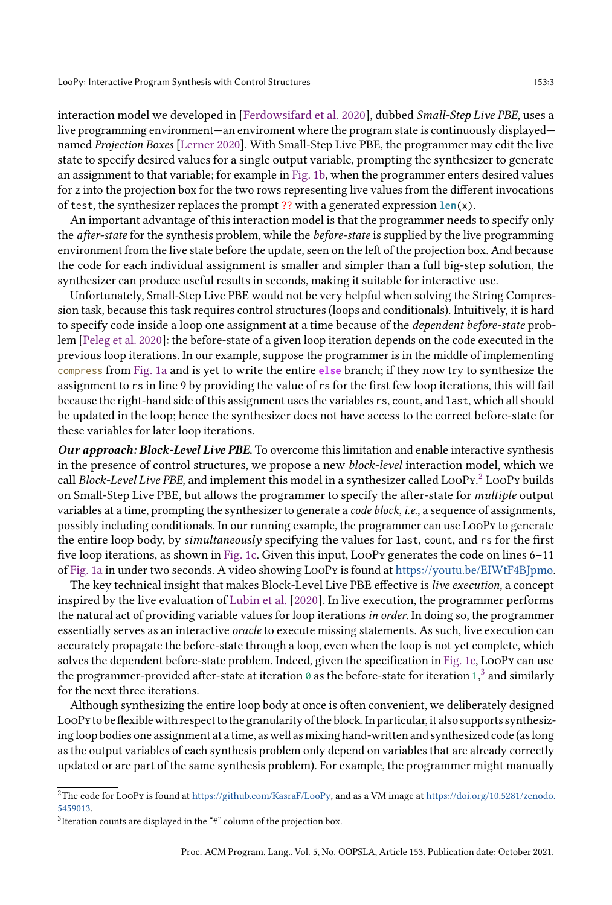interaction model we developed in [\[Ferdowsifard et al.](#page-27-4) [2020\]](#page-27-4), dubbed Small-Step Live PBE, uses a live programming environment—an enviroment where the program state is continuously displayed named Projection Boxes [\[Lerner 2020\]](#page-28-6). With Small-Step Live PBE, the programmer may edit the live state to specify desired values for a single output variable, prompting the synthesizer to generate an assignment to that variable; for example in [Fig. 1b,](#page-1-0) when the programmer enters desired values for z into the projection box for the two rows representing live values from the different invocations of test, the synthesizer replaces the prompt ?? with a generated expression **len**(x).

An important advantage of this interaction model is that the programmer needs to specify only the *after-state* for the synthesis problem, while the *before-state* is supplied by the live programming environment from the live state before the update, seen on the left of the projection box. And because the code for each individual assignment is smaller and simpler than a full big-step solution, the synthesizer can produce useful results in seconds, making it suitable for interactive use.

Unfortunately, Small-Step Live PBE would not be very helpful when solving the String Compression task, because this task requires control structures (loops and conditionals). Intuitively, it is hard to specify code inside a loop one assignment at a time because of the dependent before-state problem [\[Peleg et al.](#page-28-7) [2020\]](#page-28-7): the before-state of a given loop iteration depends on the code executed in the previous loop iterations. In our example, suppose the programmer is in the middle of implementing compress from [Fig. 1a](#page-1-0) and is yet to write the entire **else** branch; if they now try to synthesize the assignment to rs in line 9 by providing the value of rs for the first few loop iterations, this will fail because the right-hand side of this assignment uses the variables rs, count, and last, which all should be updated in the loop; hence the synthesizer does not have access to the correct before-state for these variables for later loop iterations.

Our approach: Block-Level Live PBE. To overcome this limitation and enable interactive synthesis in the presence of control structures, we propose a new block-level interaction model, which we call Block-Level Live PBE, and implement this model in a synthesizer called L00Py. $^2$  $^2$  L00Py builds on Small-Step Live PBE, but allows the programmer to specify the after-state for multiple output variables at a time, prompting the synthesizer to generate a code block, i.e., a sequence of assignments, possibly including conditionals. In our running example, the programmer can use LooPy to generate the entire loop body, by simultaneously specifying the values for last, count, and rs for the first five loop iterations, as shown in [Fig. 1c.](#page-1-0) Given this input, LooPy generates the code on lines  $6-11$ of [Fig. 1a](#page-1-0) in under two seconds. A video showing LooPy is found at [https://youtu.be/EIWtF4BJpmo.](https://youtu.be/EIWtF4BJpmo)

The key technical insight that makes Block-Level Live PBE effective is *live execution*, a concept inspired by the live evaluation of [Lubin et al.](#page-28-1) [\[2020\]](#page-28-1). In live execution, the programmer performs the natural act of providing variable values for loop iterations in order. In doing so, the programmer essentially serves as an interactive oracle to execute missing statements. As such, live execution can accurately propagate the before-state through a loop, even when the loop is not yet complete, which solves the dependent before-state problem. Indeed, given the specification in [Fig. 1c,](#page-1-0) LooPy can use the programmer-provided after-state at iteration 0 as the before-state for iteration 1, $^3$  $^3$  and similarly for the next three iterations.

Although synthesizing the entire loop body at once is often convenient, we deliberately designed LooPy to be flexible with respect to the granularity of the block. In particular, it also supports synthesizing loop bodies one assignment at a time, as well as mixing hand-written and synthesized code (as long as the output variables of each synthesis problem only depend on variables that are already correctly updated or are part of the same synthesis problem). For example, the programmer might manually

<span id="page-2-0"></span> $2$ The code for LooPy is found at [https://github.com/KasraF/LooPy,](https://github.com/KasraF/LooPy) and as a VM image at [https://doi.org/10.5281/zenodo.](https://doi.org/10.5281/zenodo.5459013) [5459013.](https://doi.org/10.5281/zenodo.5459013)

<span id="page-2-1"></span> $3$ Iteration counts are displayed in the "#" column of the projection box.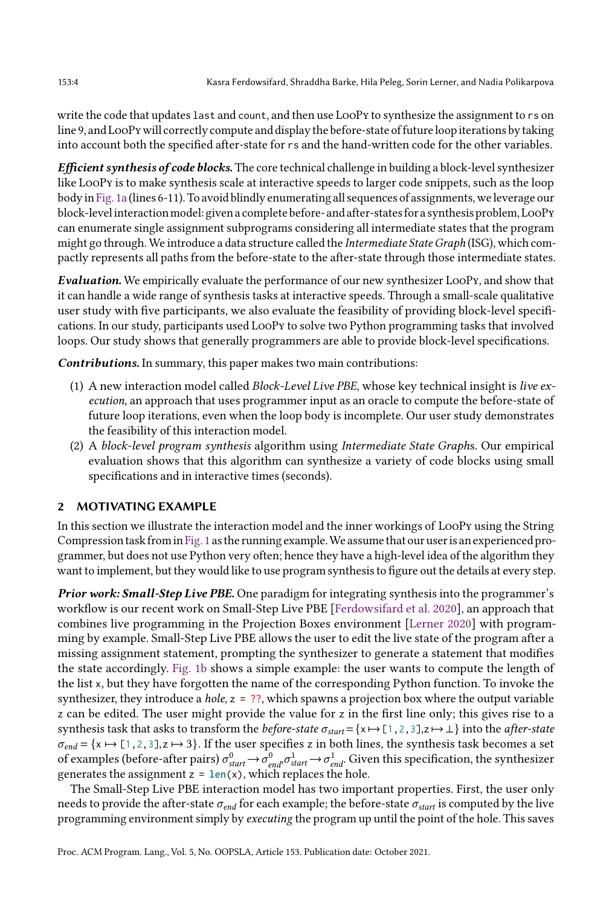write the code that updates last and count, and then use LooPy to synthesize the assignment to rs on line 9, and LooPy will correctly compute and display the before-state of future loop iterations by taking into account both the specified after-state for rs and the hand-written code for the other variables.

Efficient synthesis of code blocks. The core technical challenge in building a block-level synthesizer like LooPy is to make synthesis scale at interactive speeds to larger code snippets, such as the loop bodyin[Fig. 1a](#page-1-0) (lines 6-11). To avoid blindly enumerating all sequences of assignments, we leverage our block-levelinteractionmodel: given a complete before- and after-states for a synthesis problem,LooPy can enumerate single assignment subprograms considering all intermediate states that the program might go through. We introduce a data structure called the Intermediate State Graph (ISG), which compactly represents all paths from the before-state to the after-state through those intermediate states.

Evaluation. We empirically evaluate the performance of our new synthesizer LooPy, and show that it can handle a wide range of synthesis tasks at interactive speeds. Through a small-scale qualitative user study with five participants, we also evaluate the feasibility of providing block-level specifications. In our study, participants used LooPy to solve two Python programming tasks that involved loops. Our study shows that generally programmers are able to provide block-level specifications.

Contributions. In summary, this paper makes two main contributions:

- (1) A new interaction model called Block-Level Live PBE, whose key technical insight is live execution, an approach that uses programmer input as an oracle to compute the before-state of future loop iterations, even when the loop body is incomplete. Our user study demonstrates the feasibility of this interaction model.
- (2) A block-level program synthesis algorithm using Intermediate State Graphs. Our empirical evaluation shows that this algorithm can synthesize a variety of code blocks using small specifications and in interactive times (seconds).

### <span id="page-3-0"></span>2 MOTIVATING EXAMPLE

In this section we illustrate the interaction model and the inner workings of LooPy using the String Compression task fromin[Fig. 1](#page-1-0) as the running example.We assume that our useris an experienced programmer, but does not use Python very often; hence they have a high-level idea of the algorithm they want to implement, but they would like to use program synthesis to figure out the details at every step.

Prior work: Small-Step Live PBE. One paradigm for integrating synthesis into the programmer's workflow is our recent work on Small-Step Live PBE [\[Ferdowsifard et al.](#page-27-4) [2020\]](#page-27-4), an approach that combines live programming in the Projection Boxes environment [\[Lerner 2020\]](#page-28-6) with programming by example. Small-Step Live PBE allows the user to edit the live state of the program after a missing assignment statement, prompting the synthesizer to generate a statement that modifies the state accordingly. [Fig. 1b](#page-1-0) shows a simple example: the user wants to compute the length of the list x, but they have forgotten the name of the corresponding Python function. To invoke the synthesizer, they introduce a *hole*,  $z = ?$ ?, which spawns a projection box where the output variable z can be edited. The user might provide the value for z in the first line only; this gives rise to a synthesis task that asks to transform the *before-state*  $\sigma_{start} = \{x \mapsto [1,2,3], z \mapsto \bot\}$  into the *after-state*  $\sigma_{end} = \{x \mapsto [1,2,3], z \mapsto 3\}$ . If the user specifies z in both lines, the synthesis task becomes a set of examples (before-after pairs)  $\sigma_{start}^0 \rightarrow \sigma_{end}^0$ ,  $\sigma_{start}^1 \rightarrow \sigma_{end}^1$ . Given this specification, the synthesizer generates the assignment  $z = \text{len}(x)$ , which replaces the hole.

The Small-Step Live PBE interaction model has two important properties. First, the user only needs to provide the after-state  $\sigma_{end}$  for each example; the before-state  $\sigma_{start}$  is computed by the live programming environment simply by executing the program up until the point of the hole. This saves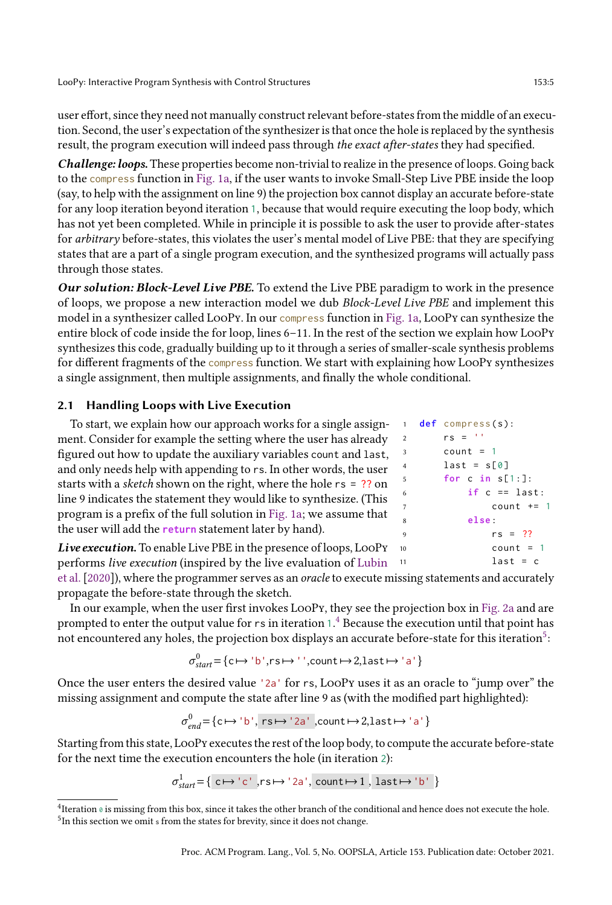user effort, since they need not manually construct relevant before-states from the middle of an execution. Second, the user's expectation of the synthesizer is that once the hole is replaced by the synthesis result, the program execution will indeed pass through the exact after-states they had specified.

Challenge: loops. These properties become non-trivial to realize in the presence of loops. Going back to the compress function in [Fig. 1a,](#page-1-0) if the user wants to invoke Small-Step Live PBE inside the loop (say, to help with the assignment on line 9) the projection box cannot display an accurate before-state for any loop iteration beyond iteration 1, because that would require executing the loop body, which has not yet been completed. While in principle it is possible to ask the user to provide after-states for arbitrary before-states, this violates the user's mental model of Live PBE: that they are specifying states that are a part of a single program execution, and the synthesized programs will actually pass through those states.

Our solution: Block-Level Live PBE. To extend the Live PBE paradigm to work in the presence of loops, we propose a new interaction model we dub Block-Level Live PBE and implement this model in a synthesizer called LooPy. In our compress function in [Fig. 1a,](#page-1-0) LooPy can synthesize the entire block of code inside the for loop, lines 6-11. In the rest of the section we explain how LooPy synthesizes this code, gradually building up to it through a series of smaller-scale synthesis problems for different fragments of the compress function. We start with explaining how LooPy synthesizes a single assignment, then multiple assignments, and finally the whole conditional.

#### 2.1 Handling Loops with Live Execution

| To start, we explain how our approach works for a single assign-          |
|---------------------------------------------------------------------------|
| ment. Consider for example the setting where the user has already         |
| figured out how to update the auxiliary variables count and last,         |
| and only needs help with appending to rs. In other words, the user        |
| starts with a <i>sketch</i> shown on the right, where the hole rs = ?? on |
| line 9 indicates the statement they would like to synthesize. (This       |
| program is a prefix of the full solution in Fig. 1a; we assume that       |
| the user will add the return statement later by hand).                    |
|                                                                           |

Live execution. To enable Live PBE in the presence of loops, LooPy 10 performs live execution (inspired by the live evaluation of [Lubin](#page-28-1)

| $\mathbf{1}$   | $def$ compress $(s)$ : |
|----------------|------------------------|
| $\overline{2}$ | $rs = "$               |
| 3              | $count = 1$            |
| $\overline{4}$ | $last = s[0]$          |
| 5              | for c in $s[1:]$ :     |
| 6              | if $c == last:$        |
| $\overline{7}$ | count $+= 1$           |
| 8              | else:                  |
| 9              | $rs = ??$              |
| 10             | $count = 1$            |
| 11             | $last = c$             |
|                |                        |

[et al.\[2020\]](#page-28-1)), where the programmer serves as an oracle to execute missing statements and accurately propagate the before-state through the sketch.

In our example, when the user first invokes LooPy, they see the projection box in [Fig. 2a](#page-5-0) and are prompted to enter the output value for  $\mathsf r\mathsf s$  in iteration 1. $^4$  $^4$  Because the execution until that point has not encountered any holes, the projection box displays an accurate before-state for this iteration $^5\!$  $^5\!$  $^5\!$ :

$$
\sigma_{start}^0 = \{ c \mapsto 'b', rs \mapsto '', count \mapsto 2, last \mapsto 'a' \}
$$

Once the user enters the desired value '2a' for rs, LooPy uses it as an oracle to "jump over" the missing assignment and compute the state after line 9 as (with the modified part highlighted):

$$
\sigma_{end}^0 = \{ c \mapsto 'b', rs \mapsto '2a', count \mapsto 2, last \mapsto 'a' \}
$$

Starting from this state, LooPy executes the rest of the loop body, to compute the accurate before-state for the next time the execution encounters the hole (in iteration 2):

$$
\sigma_{start}^1 \text{=} \{ \text{ c} \mapsto \text{'c'} \text{ ,} \text{rs} \mapsto \text{'2a'} \text{, count} \mapsto 1 \text{ , } last \mapsto \text{'b'} \}
$$

<span id="page-4-1"></span><span id="page-4-0"></span><sup>&</sup>lt;sup>4</sup> Iteration ø is missing from this box, since it takes the other branch of the conditional and hence does not execute the hole. <sup>5</sup>In this section we omit s from the states for brevity, since it does not change.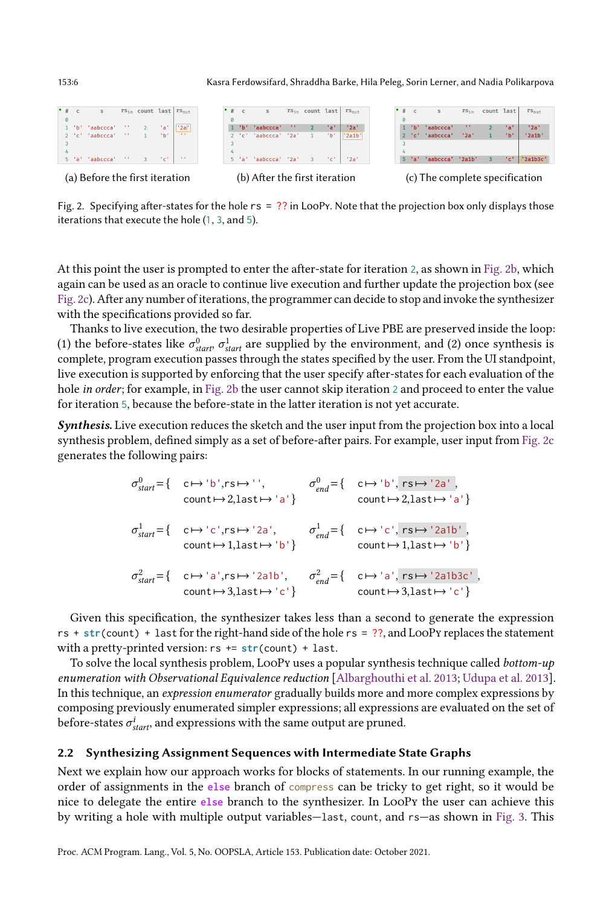<span id="page-5-0"></span>





(a) Before the first iteration (b) After the first iteration (c) The complete specification

Fig. 2. Specifying after-states for the hole  $rs = ?$ ? in LooPy. Note that the projection box only displays those iterations that execute the hole (1, 3, and 5).

At this point the user is prompted to enter the after-state for iteration 2, as shown in [Fig. 2b,](#page-5-0) which again can be used as an oracle to continue live execution and further update the projection box (see [Fig. 2c\)](#page-5-0). After any number of iterations, the programmer can decide to stop and invoke the synthesizer with the specifications provided so far.

Thanks to live execution, the two desirable properties of Live PBE are preserved inside the loop: (1) the before-states like  $\sigma_{start}^0$ ,  $\sigma_{start}^1$  are supplied by the environment, and (2) once synthesis is complete, program execution passes through the states specified by the user. From the UI standpoint, live execution is supported by enforcing that the user specify after-states for each evaluation of the hole *in order*; for example, in [Fig. 2b](#page-5-0) the user cannot skip iteration 2 and proceed to enter the value for iteration 5, because the before-state in the latter iteration is not yet accurate.

Synthesis. Live execution reduces the sketch and the user input from the projection box into a local synthesis problem, defined simply as a set of before-after pairs. For example, user input from [Fig. 2c](#page-5-0) generates the following pairs:

$$
\sigma_{start}^0 = \{ \begin{array}{ll} c \mapsto 'b', r s \mapsto '', & \sigma_{end}^0 = \{ \begin{array}{ll} c \mapsto 'b', r s \mapsto '2a', \\ \text{count} \mapsto 2, \text{last} \mapsto 'a' \} \end{array} \}
$$
\n
$$
\sigma_{start}^1 = \{ \begin{array}{ll} c \mapsto 'c', r s \mapsto '2a', & \sigma_{end}^1 = \{ \begin{array}{ll} c \mapsto 'c', r s \mapsto '2a1b', \\ \text{count} \mapsto 1, \text{last} \mapsto 'b' \} \end{array} \}
$$
\n
$$
\sigma_{start}^2 = \{ \begin{array}{ll} c \mapsto 'a', r s \mapsto '2a1b', & \sigma_{end}^2 = \{ \begin{array}{ll} c \mapsto 'a', r s \mapsto '2a1b3c', \\ \text{count} \mapsto 3, \text{last} \mapsto 'c' \} \end{array} \}
$$

Given this specification, the synthesizer takes less than a second to generate the expression rs + **str**(count) + last for the right-hand side of the hole rs = ??, and LooPy replaces the statement with a pretty-printed version: rs += **str**(count) + last.

To solve the local synthesis problem, LooPy uses a popular synthesis technique called bottom-up enumeration with Observational Equivalence reduction [\[Albarghouthi et al.](#page-27-6) [2013;](#page-27-6) [Udupa et al.](#page-28-8) [2013\]](#page-28-8). In this technique, an expression enumerator gradually builds more and more complex expressions by composing previously enumerated simpler expressions; all expressions are evaluated on the set of before-states  $\sigma_{{\mathit{start}}}^i$ , and expressions with the same output are pruned.

#### 2.2 Synthesizing Assignment Sequences with Intermediate State Graphs

Next we explain how our approach works for blocks of statements. In our running example, the order of assignments in the **else** branch of compress can be tricky to get right, so it would be nice to delegate the entire **else** branch to the synthesizer. In LooPy the user can achieve this by writing a hole with multiple output variables–last, count, and rs–as shown in [Fig. 3.](#page-6-0) This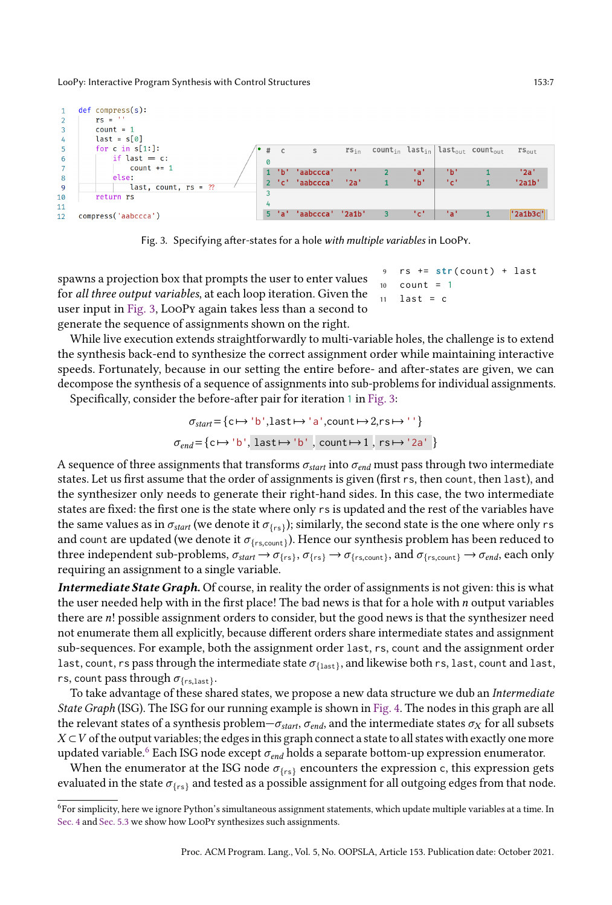<span id="page-6-0"></span>

Fig. 3. Specifying after-states for a hole with multiple variables in LooPy.

spawns a projection box that prompts the user to enter values for all three output variables, at each loop iteration. Given the user input in [Fig. 3,](#page-6-0) LooPy again takes less than a second to generate the sequence of assignments shown on the right.

 $11$  last = c

 $10$  count = 1

 $rs$  +=  $str$  ( count ) + last

While live execution extends straightforwardly to multi-variable holes, the challenge is to extend the synthesis back-end to synthesize the correct assignment order while maintaining interactive speeds. Fortunately, because in our setting the entire before- and after-states are given, we can decompose the synthesis of a sequence of assignments into sub-problems for individual assignments.

Specifically, consider the before-after pair for iteration 1 in [Fig. 3:](#page-6-0)

$$
\sigma_{start} = \{ c \mapsto 'b', \text{last} \mapsto 'a', \text{count} \mapsto 2, \text{rs} \mapsto '' \}
$$

$$
\sigma_{end} = \{ c \mapsto 'b', \text{last} \mapsto 'b', \text{count} \mapsto 1, \text{rs} \mapsto '2a' \}
$$

A sequence of three assignments that transforms  $\sigma_{start}$  into  $\sigma_{end}$  must pass through two intermediate states. Let us first assume that the order of assignments is given (first rs, then count, then last), and the synthesizer only needs to generate their right-hand sides. In this case, the two intermediate states are fixed: the first one is the state where only rs is updated and the rest of the variables have the same values as in  $\sigma_{start}$  (we denote it  $\sigma_{\{rs\}}$ ); similarly, the second state is the one where only  $r$  s and count are updated (we denote it  $\sigma_{\{\text{r}s,\text{count}\}}$ ). Hence our synthesis problem has been reduced to three independent sub-problems,  $\sigma_{start} \to \sigma_{\{rs\}}, \sigma_{\{rs\}} \to \sigma_{\{rs, count\}},$  and  $\sigma_{\{rs, count\}} \to \sigma_{end}$ , each only requiring an assignment to a single variable.

Intermediate State Graph. Of course, in reality the order of assignments is not given: this is what the user needed help with in the first place! The bad news is that for a hole with  $n$  output variables there are n! possible assignment orders to consider, but the good news is that the synthesizer need not enumerate them all explicitly, because different orders share intermediate states and assignment sub-sequences. For example, both the assignment order last, rs, count and the assignment order last, count, rs pass through the intermediate state  $\sigma_{\{last\}},$  and likewise both rs, last, count and last, rs, count pass through  $\sigma_{\{\rm rs, last\}}$ .

To take advantage of these shared states, we propose a new data structure we dub an Intermediate State Graph (ISG). The ISG for our running example is shown in [Fig. 4.](#page-7-0) The nodes in this graph are all the relevant states of a synthesis problem $-\sigma_{start}$ ,  $\sigma_{end}$ , and the intermediate states  $\sigma_X$  for all subsets  $X \subset V$  of the output variables; the edges in this graph connect a state to all states with exactly one more updated variable.<sup>[6](#page-6-1)</sup> Each ISG node except  $\sigma_{end}$  holds a separate bottom-up expression enumerator.

When the enumerator at the ISG node  $\sigma_{\text{frs}}$  encounters the expression c, this expression gets evaluated in the state  $\sigma_{\{rs\}}$  and tested as a possible assignment for all outgoing edges from that node.

<span id="page-6-1"></span><sup>6</sup>For simplicity, here we ignore Python's simultaneous assignment statements, which update multiple variables at a time. In [Sec. 4](#page-9-0) and [Sec. 5.3](#page-16-0) we show how LooPy synthesizes such assignments.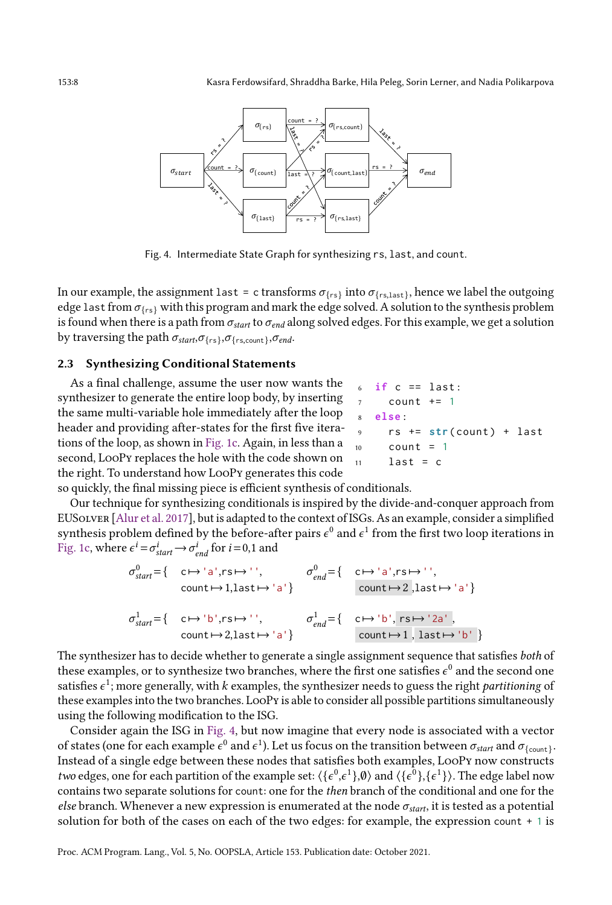<span id="page-7-0"></span>

Fig. 4. Intermediate State Graph for synthesizing rs, last, and count.

In our example, the assignment <code>last = c</code> transforms  $\sigma_{\{rs\}}$  into  $\sigma_{\{rs\, last\}}$ , hence we label the outgoing edge last from  $\sigma_{\{rs\}}$  with this program and mark the edge solved. A solution to the synthesis problem is found when there is a path from  $\sigma_{start}$  to  $\sigma_{end}$  along solved edges. For this example, we get a solution by traversing the path  $\sigma_{start}, \sigma_{\{rs\}}, \sigma_{\{rs,count\}}, \sigma_{end}.$ 

### 2.3 Synthesizing Conditional Statements

As a final challenge, assume the user now wants the synthesizer to generate the entire loop body, by inserting the same multi-variable hole immediately after the loop header and providing after-states for the first five iterations of the loop, as shown in [Fig. 1c.](#page-1-0) Again, in less than a second, LooPy replaces the hole with the code shown on the right. To understand how LooPy generates this code

|                | $6$ if c == last:               |  |
|----------------|---------------------------------|--|
| 7              | count += 1                      |  |
|                | s else:                         |  |
| $\overline{9}$ | rs += <b>str</b> (count) + last |  |
| 10             | $count = 1$                     |  |
| 11             | $last = c$                      |  |

so quickly, the final missing piece is efficient synthesis of conditionals.

Our technique for synthesizing conditionals is inspired by the divide-and-conquer approach from EUSolver [\[Alur et al.](#page-27-7) [2017\]](#page-27-7), but is adapted to the context of ISGs. As an example, consider a simplified synthesis problem defined by the before-after pairs  $\epsilon^0$  and  $\epsilon^1$  from the first two loop iterations in [Fig. 1c,](#page-1-0) where  $\epsilon^i = \sigma_{start}^i \rightarrow \sigma_{end}^i$  for  $i = 0, 1$  and

$$
\sigma_{start}^0 = \{ \begin{array}{ccc} c \mapsto 'a', rs \mapsto '', & \sigma_{end}^0 = \{ \begin{array}{ccc} c \mapsto 'a', rs \mapsto '', \\ \text{count} \mapsto 1, \text{last} \mapsto 'a' \} \end{array} \}
$$
\n
$$
\sigma_{start}^1 = \{ \begin{array}{ccc} c \mapsto 'a', rs \mapsto '', \\ \text{count} \mapsto 2, \text{last} \mapsto 'a' \} \end{array} \}
$$
\n
$$
\sigma_{start}^1 = \{ \begin{array}{ccc} c \mapsto 'b', rs \mapsto '2a', \\ \text{count} \mapsto 2, \text{last} \mapsto 'a' \} \end{array} \}
$$
\n
$$
\sigma_{end}^1 = \{ \begin{array}{ccc} c \mapsto 'b', rs \mapsto '2a', \\ \text{count} \mapsto 1, \text{ last} \mapsto 'b' \} \end{array}
$$

The synthesizer has to decide whether to generate a single assignment sequence that satisfies both of these examples, or to synthesize two branches, where the first one satisfies  $\epsilon^0$  and the second one satisfies  $\epsilon^1$ ; more generally, with  $k$  examples, the synthesizer needs to guess the right *partitioning* of these examples into the two branches. LooPy is able to consider all possible partitions simultaneously using the following modification to the ISG.

Consider again the ISG in [Fig. 4,](#page-7-0) but now imagine that every node is associated with a vector of states (one for each example  $\epsilon^0$  and  $\epsilon^1$ ). Let us focus on the transition between  $\sigma_{start}$  and  $\sigma_{\{count\}}.$ Instead of a single edge between these nodes that satisfies both examples, LooPy now constructs *two* edges, one for each partition of the example set:  $\langle \{ \epsilon^0, \epsilon^1 \} , \emptyset \rangle$  and  $\langle \{ \epsilon^0 \} , \{ \epsilon^1 \} \rangle$ . The edge label now contains two separate solutions for count: one for the then branch of the conditional and one for the else branch. Whenever a new expression is enumerated at the node  $\sigma_{start}$ , it is tested as a potential solution for both of the cases on each of the two edges: for example, the expression count + 1 is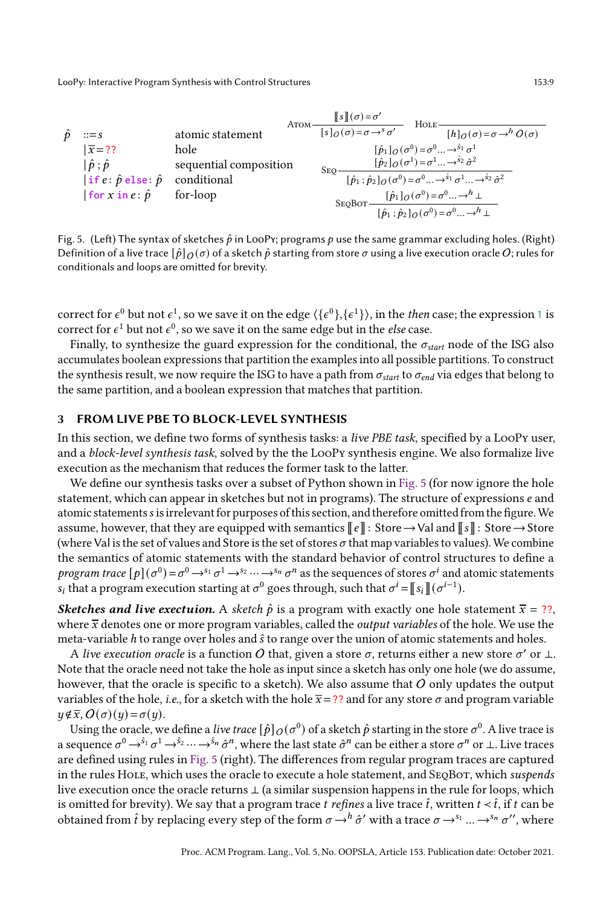<span id="page-8-0"></span>

Fig. 5. (Left) The syntax of sketches  $\hat{p}$  in LooPy; programs  $p$  use the same grammar excluding holes. (Right) Definition of a live trace  $[\hat{p}]_O(\sigma)$  of a sketch  $\hat{p}$  starting from store  $\sigma$  using a live execution oracle O; rules for conditionals and loops are omitted for brevity.

correct for  $\epsilon^0$  but not  $\epsilon^1$ , so we save it on the edge  $\langle\{\epsilon^0\},\{\epsilon^1\}\rangle$ , in the *then* case; the expression 1 is correct for  $\epsilon^1$  but not  $\epsilon^0$ , so we save it on the same edge but in the *else* case.

Finally, to synthesize the guard expression for the conditional, the  $\sigma_{start}$  node of the ISG also accumulates boolean expressions that partition the examples into all possible partitions. To construct the synthesis result, we now require the ISG to have a path from  $\sigma_{start}$  to  $\sigma_{end}$  via edges that belong to the same partition, and a boolean expression that matches that partition.

#### <span id="page-8-1"></span>3 FROM LIVE PBE TO BLOCK-LEVEL SYNTHESIS

In this section, we define two forms of synthesis tasks: a live PBE task, specified by a LooPy user, and a block-level synthesis task, solved by the the LooPy synthesis engine. We also formalize live execution as the mechanism that reduces the former task to the latter.

We define our synthesis tasks over a subset of Python shown in [Fig. 5](#page-8-0) (for now ignore the hole statement, which can appear in sketches but not in programs). The structure of expressions  $e$  and atomic statements s is irrelevant for purposes of this section, and therefore omitted from the figure. We assume, however, that they are equipped with semantics  $\llbracket e \rrbracket$ : Store→Val and  $\llbracket s \rrbracket$ : Store→Store (where Val is the set of values and Store is the set of stores  $\sigma$  that map variables to values). We combine the semantics of atomic statements with the standard behavior of control structures to define a program trace  $[p](\sigma^0)\!=\!\sigma^0\!\to^{s_1}\!\sigma^1\!\to^{s_2}\!\cdots\!\to^{s_n}\!\sigma^n$  as the sequences of stores  $\sigma^i$  and atomic statements  $s_i$  that a program execution starting at  $\sigma^0$  goes through, such that  $\sigma^i = \llbracket s_i \rrbracket (\sigma^{i-1}).$ 

**Sketches and live exectuion.** A sketch  $\hat{p}$  is a program with exactly one hole statement  $\bar{x} = ?$ ?, where  $\bar{x}$  denotes one or more program variables, called the *output variables* of the hole. We use the meta-variable  $h$  to range over holes and  $\hat{s}$  to range over the union of atomic statements and holes.

A live execution oracle is a function  $O$  that, given a store  $\sigma$ , returns either a new store  $\sigma'$  or  $\bot$ . Note that the oracle need not take the hole as input since a sketch has only one hole (we do assume, however, that the oracle is specific to a sketch). We also assume that  $O$  only updates the output variables of the hole, *i.e.*, for a sketch with the hole  $\bar{x}$  = ?? and for any store  $\sigma$  and program variable  $y \notin \overline{x}$ ,  $O(\sigma)(y) = \sigma(y)$ .

Using the oracle, we define a *live trace*  $[\hat p]_O(\sigma^0)$  *of a sketch*  $\hat p$  *starting in the store*  $\sigma^0.$  *A live trace is* a sequence  $\sigma^0\to^{\hat{\mathfrak{s}}_1}\sigma^1\to^{\hat{\mathfrak{s}}_2}\cdots\to^{\hat{\mathfrak{s}}_n}\hat{\sigma}^n,$  where the last state  $\hat{\sigma}^n$  can be either a store  $\sigma^n$  or  $\bot.$  Live traces are defined using rules in [Fig. 5](#page-8-0) (right). The differences from regular program traces are captured in the rules HOLE, which uses the oracle to execute a hole statement, and SEQBOT, which suspends live execution once the oracle returns ⊥ (a similar suspension happens in the rule for loops, which is omitted for brevity). We say that a program trace *t* refines a live trace  $\hat{t}$ , written  $t < \hat{t}$ , if  $t$  can be obtained from  $\hat t$  by replacing every step of the form  $\sigma\!\to^h\!\hat\sigma'$  with a trace  $\sigma\!\to^{\mathfrak s_1}$  ...  $\to^{\mathfrak s_n}\sigma'',$  where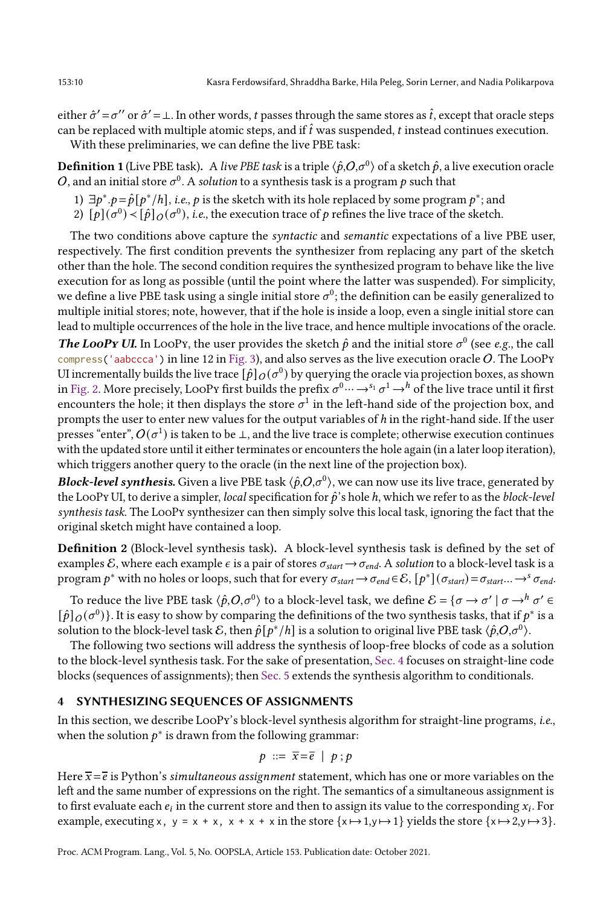either  $\hat{\sigma}' = \sigma''$  or  $\hat{\sigma}' = \bot$ . In other words, t passes through the same stores as  $\hat{t}$ , except that oracle steps can be replaced with multiple atomic steps, and if  $\hat{t}$  was suspended, t instead continues execution.

With these preliminaries, we can define the live PBE task:

**Definition 1** (Live PBE task). A *live PBE task* is a triple  $\langle\hat p, O,\sigma^0\rangle$  of a sketch  $\hat p$ , a live execution oracle  $O$ , and an initial store  $\sigma^0$ . A *solution* to a synthesis task is a program  $p$  such that

- 1)  $\exists p^* . p = \hat{p}[p^* / h]$ , *i.e.*, *p* is the sketch with its hole replaced by some program *p*<sup>∗</sup>; and
- 2)  $[p](\sigma^0) < [\hat{p}]_O(\sigma^0)$ , *i.e.*, the execution trace of  $p$  refines the live trace of the sketch.

The two conditions above capture the *syntactic* and *semantic* expectations of a live PBE user, respectively. The first condition prevents the synthesizer from replacing any part of the sketch other than the hole. The second condition requires the synthesized program to behave like the live execution for as long as possible (until the point where the latter was suspended). For simplicity, we define a live PBE task using a single initial store  $\sigma^0$ ; the definition can be easily generalized to multiple initial stores; note, however, that if the hole is inside a loop, even a single initial store can lead to multiple occurrences of the hole in the live trace, and hence multiple invocations of the oracle.

**The LooPy UI.** In LooPy, the user provides the sketch  $\hat{p}$  and the initial store  $\sigma^0$  (see e.g., the call compress ('aabccca') in line 12 in [Fig. 3\)](#page-6-0), and also serves as the live execution oracle O. The LooPy UI incrementally builds the live trace  $[\hat{p}]_O(\sigma^0)$  by querying the oracle via projection boxes, as shown in [Fig. 2.](#page-5-0) More precisely, LooPy first builds the prefix  $\sigma^0$   $\cdots$   $\to$   $^s$ 1  $\sigma^1$   $\to$   $^h$  of the live trace until it first encounters the hole; it then displays the store  $\sigma^1$  in the left-hand side of the projection box, and prompts the user to enter new values for the output variables of  $h$  in the right-hand side. If the user presses "enter",  $O(\sigma^1)$  is taken to be ⊥, and the live trace is complete; otherwise execution continues with the updated store until it either terminates or encounters the hole again (in a later loop iteration), which triggers another query to the oracle (in the next line of the projection box).

Block-level synthesis. Given a live PBE task  $\langle \hat{p}, O, \sigma^0 \rangle$ , we can now use its live trace, generated by the LooPy UI, to derive a simpler, *local* specification for  $\hat{p}$ 's hole h, which we refer to as the *block-level* synthesis task. The LooPy synthesizer can then simply solve this local task, ignoring the fact that the original sketch might have contained a loop.

Definition 2 (Block-level synthesis task). A block-level synthesis task is defined by the set of examples E, where each example  $\epsilon$  is a pair of stores  $\sigma_{start} \rightarrow \sigma_{end}$ . A solution to a block-level task is a program  $p^*$  with no holes or loops, such that for every  $\sigma_{start} \to \sigma_{end} \in \mathcal{E}$ ,  $[p^*](\sigma_{start}) = \sigma_{start} \to \sigma_{end}$ .

To reduce the live PBE task  $\langle \hat{p}, O, \sigma^0 \rangle$  to a block-level task, we define  $\mathcal{E} = \{ \sigma \to \sigma' \mid \sigma \to^h \sigma' \in \mathcal{E} \}$  $[\hat{p}]_O(\sigma^0)$  . It is easy to show by comparing the definitions of the two synthesis tasks, that if  $p^*$  is a solution to the block-level task  $\mathcal E,$  then  $\hat p[p^*/h]$  is a solution to original live PBE task  $\langle \hat p, O,\sigma^0\rangle.$ 

The following two sections will address the synthesis of loop-free blocks of code as a solution to the block-level synthesis task. For the sake of presentation, [Sec. 4](#page-9-0) focuses on straight-line code blocks (sequences of assignments); then [Sec. 5](#page-13-0) extends the synthesis algorithm to conditionals.

#### <span id="page-9-0"></span>4 SYNTHESIZING SEQUENCES OF ASSIGNMENTS

In this section, we describe LooPy's block-level synthesis algorithm for straight-line programs, i.e., when the solution  $p^*$  is drawn from the following grammar:

$$
p ::= \overline{x} = \overline{e} \mid p : p
$$

Here  $\bar{x} = \bar{e}$  is Python's simultaneous assignment statement, which has one or more variables on the left and the same number of expressions on the right. The semantics of a simultaneous assignment is to first evaluate each  $e_i$  in the current store and then to assign its value to the corresponding  $x_i$ . For example, executing x, y = x + x, x + x + x in the store  $\{x \mapsto 1, y \mapsto 1\}$  yields the store  $\{x \mapsto 2, y \mapsto 3\}$ .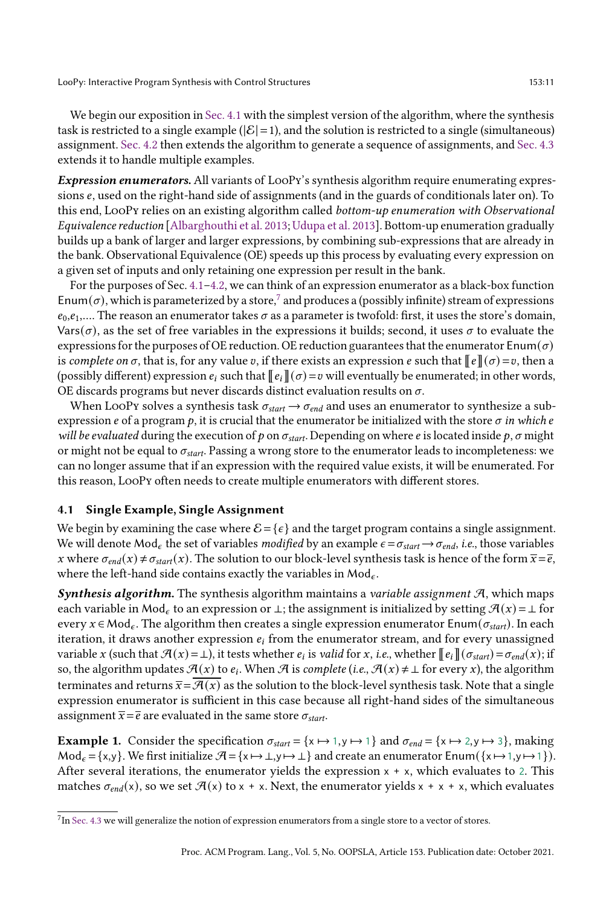We begin our exposition in [Sec. 4.1](#page-10-0) with the simplest version of the algorithm, where the synthesis task is restricted to a single example ( $|\mathcal{E}|=1$ ), and the solution is restricted to a single (simultaneous) assignment. [Sec. 4.2](#page-11-0) then extends the algorithm to generate a sequence of assignments, and [Sec. 4.3](#page-13-1) extends it to handle multiple examples.

**Expression enumerators.** All variants of LooPy's synthesis algorithm require enumerating expressions  $e$ , used on the right-hand side of assignments (and in the guards of conditionals later on). To this end, LooPy relies on an existing algorithm called bottom-up enumeration with Observational Equivalence reduction [\[Albarghouthi et al.](#page-27-6) [2013;](#page-27-6) [Udupa et al.](#page-28-8) [2013\]](#page-28-8). Bottom-up enumeration gradually builds up a bank of larger and larger expressions, by combining sub-expressions that are already in the bank. Observational Equivalence (OE) speeds up this process by evaluating every expression on a given set of inputs and only retaining one expression per result in the bank.

For the purposes of Sec.  $4.1-4.2$ , we can think of an expression enumerator as a black-box function Enum $(\sigma)$ , which is parameterized by a store, $^7$  $^7$  and produces a (possibly infinite) stream of expressions  $e_0, e_1, \ldots$  The reason an enumerator takes  $\sigma$  as a parameter is twofold: first, it uses the store's domain, Vars( $\sigma$ ), as the set of free variables in the expressions it builds; second, it uses  $\sigma$  to evaluate the expressions for the purposes of OE reduction. OE reduction guarantees that the enumerator  $\text{Enum}(\sigma)$ is complete on  $\sigma$ , that is, for any value v, if there exists an expression e such that  $\llbracket e \rrbracket(\sigma) = v$ , then a (possibly different) expression  $e_i$  such that  $\llbracket e_i \rrbracket(\sigma) = v$  will eventually be enumerated; in other words, OE discards programs but never discards distinct evaluation results on  $\sigma$ .

When LooPy solves a synthesis task  $\sigma_{start} \rightarrow \sigma_{end}$  and uses an enumerator to synthesize a subexpression *e* of a program  $p$ , it is crucial that the enumerator be initialized with the store  $\sigma$  in which *e* will be evaluated during the execution of p on  $\sigma_{start}$ . Depending on where e is located inside p,  $\sigma$  might or might not be equal to  $\sigma_{start}$ . Passing a wrong store to the enumerator leads to incompleteness: we can no longer assume that if an expression with the required value exists, it will be enumerated. For this reason, LooPy often needs to create multiple enumerators with different stores.

#### <span id="page-10-0"></span>4.1 Single Example, Single Assignment

We begin by examining the case where  $\mathcal{E} = \{\epsilon\}$  and the target program contains a single assignment. We will denote Mod<sub> $\epsilon$ </sub> the set of variables modified by an example  $\epsilon = \sigma_{start} \rightarrow \sigma_{end}$ , i.e., those variables x where  $\sigma_{end}(x) \neq \sigma_{start}(x)$ . The solution to our block-level synthesis task is hence of the form  $\overline{x} = \overline{e}$ , where the left-hand side contains exactly the variables in  $\text{Mod}_{\epsilon}$ .

**Synthesis algorithm.** The synthesis algorithm maintains a variable assignment  $A$ , which maps each variable in Mod<sub>e</sub> to an expression or  $\perp$ ; the assignment is initialized by setting  $\mathcal{A}(x) = \perp$  for every  $x \in Mod_{\epsilon}$ . The algorithm then creates a single expression enumerator Enum $(\sigma_{start})$ . In each iteration, it draws another expression  $e_i$  from the enumerator stream, and for every unassigned variable x (such that  $\mathcal{A}(x) = \perp$ ), it tests whether  $e_i$  is valid for x, i.e., whether  $[\![e_i]\!](\sigma_{start}) = \sigma_{end}(x)$ ; if so, the algorithm updates  $\mathcal{A}(x)$  to  $e_i$ . When  $\mathcal A$  is complete (i.e.,  $\mathcal{A}(x) \neq \bot$  for every x), the algorithm terminates and returns  $\bar{x} = \bar{\mathcal{H}}(x)$  as the solution to the block-level synthesis task. Note that a single expression enumerator is sufficient in this case because all right-hand sides of the simultaneous assignment  $\bar{x} = \bar{e}$  are evaluated in the same store  $\sigma_{start}$ .

<span id="page-10-2"></span>**Example 1.** Consider the specification  $\sigma_{start} = \{x \mapsto 1, y \mapsto 1\}$  and  $\sigma_{end} = \{x \mapsto 2, y \mapsto 3\}$ , making  $\text{Mod}_{\epsilon} = \{x,y\}.$  We first initialize  $\mathcal{A} = \{x \mapsto \bot, y \mapsto \bot\}$  and create an enumerator Enum $(\{x \mapsto 1, y \mapsto 1\}).$ After several iterations, the enumerator yields the expression  $x + x$ , which evaluates to 2. This matches  $\sigma_{end}(x)$ , so we set  $\mathcal{A}(x)$  to  $x + x$ . Next, the enumerator yields  $x + x + x$ , which evaluates

<span id="page-10-1"></span> $^{7}$ In [Sec. 4.3](#page-13-1) we will generalize the notion of expression enumerators from a single store to a vector of stores.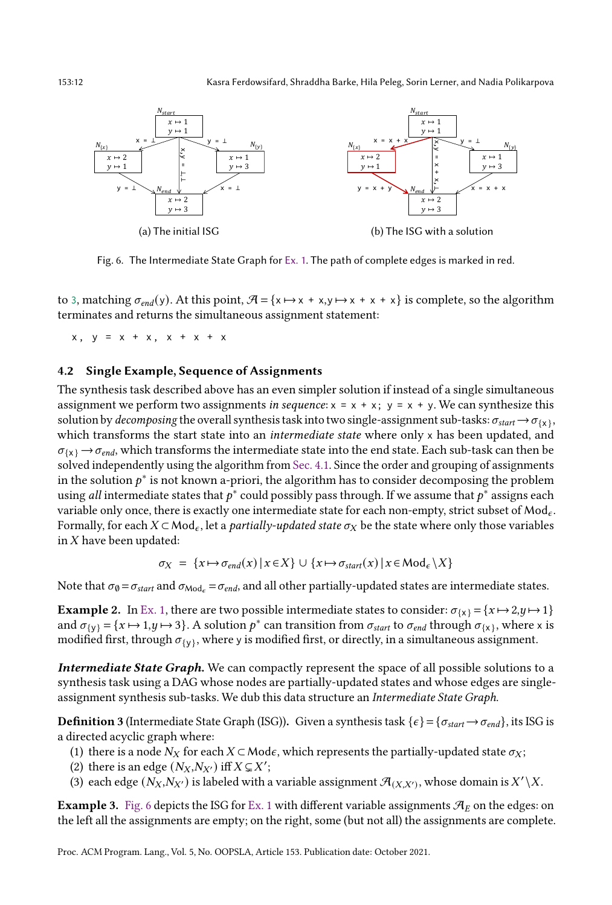

Fig. 6. The Intermediate State Graph for [Ex. 1.](#page-10-2) The path of complete edges is marked in red.

to 3, matching  $\sigma_{end}(y)$ . At this point,  $\mathcal{A} = \{x \mapsto x + x, y \mapsto x + x + x\}$  is complete, so the algorithm terminates and returns the simultaneous assignment statement:

 $x, y = x + x, x + x + x$ 

## <span id="page-11-0"></span>4.2 Single Example, Sequence of Assignments

The synthesis task described above has an even simpler solution if instead of a single simultaneous assignment we perform two assignments in sequence:  $x = x + x$ ;  $y = x + y$ . We can synthesize this solution by *decomposing* the overall synthesis task into two single-assignment sub-tasks:  $\sigma_{start} \to \sigma_{\{x\}}$ , which transforms the start state into an *intermediate state* where only x has been updated, and  ${\sigma}_{\{X\}} \to {\sigma}_{end}$ , which transforms the intermediate state into the end state. Each sub-task can then be solved independently using the algorithm from [Sec. 4.1.](#page-10-0) Since the order and grouping of assignments in the solution  $p^*$  is not known a-priori, the algorithm has to consider decomposing the problem using *all* intermediate states that  $p^*$  could possibly pass through. If we assume that  $p^*$  assigns each variable only once, there is exactly one intermediate state for each non-empty, strict subset of  $Mod_{\epsilon}$ . Formally, for each  $X \subset \text{Mod}_\epsilon$ , let a *partially-updated state*  $\sigma_X$  be the state where only those variables in  $X$  have been updated:

$$
\sigma_X = \{x \mapsto \sigma_{end}(x) \mid x \in X\} \cup \{x \mapsto \sigma_{start}(x) \mid x \in \text{Mod}_{\epsilon} \setminus X\}
$$

Note that  $\sigma_{\emptyset} = \sigma_{start}$  and  $\sigma_{\text{Mod}_e} = \sigma_{end}$ , and all other partially-updated states are intermediate states.

**Example 2.** In [Ex. 1,](#page-10-2) there are two possible intermediate states to consider:  $\sigma_{\{x\}} = \{x \mapsto 2, y \mapsto 1\}$ and  $\sigma_{\{y\}} = \{x \mapsto 1, y \mapsto 3\}$ . A solution  $p^*$  can transition from  $\sigma_{start}$  to  $\sigma_{end}$  through  $\sigma_{\{x\}}$ , where x is modified first, through  ${\sigma_{\{y\}}}$ , where y is modified first, or directly, in a simultaneous assignment.

Intermediate State Graph. We can compactly represent the space of all possible solutions to a synthesis task using a DAG whose nodes are partially-updated states and whose edges are singleassignment synthesis sub-tasks. We dub this data structure an Intermediate State Graph.

<span id="page-11-2"></span>**Definition 3** (Intermediate State Graph (ISG)). Given a synthesis task  $\{\epsilon\} = \{\sigma_{start} \rightarrow \sigma_{end}\}\$ , its ISG is a directed acyclic graph where:

- (1) there is a node  $N_X$  for each  $X \subset \text{Mode}$ , which represents the partially-updated state  $\sigma_X$ ;
- (2) there is an edge  $(N_X, N_{X'})$  iff  $X \subsetneq X'$ ;
- (3) each edge  $(N_X, N_{X'})$  is labeled with a variable assignment  $\mathcal{A}_{(X,X')}$ , whose domain is  $X'\setminus X$ .

**Example 3.** [Fig. 6](#page-11-1) depicts the ISG for [Ex. 1](#page-10-2) with different variable assignments  $\mathcal{A}_E$  on the edges: on the left all the assignments are empty; on the right, some (but not all) the assignments are complete.

Proc. ACM Program. Lang., Vol. 5, No. OOPSLA, Article 153. Publication date: October 2021.

<span id="page-11-1"></span>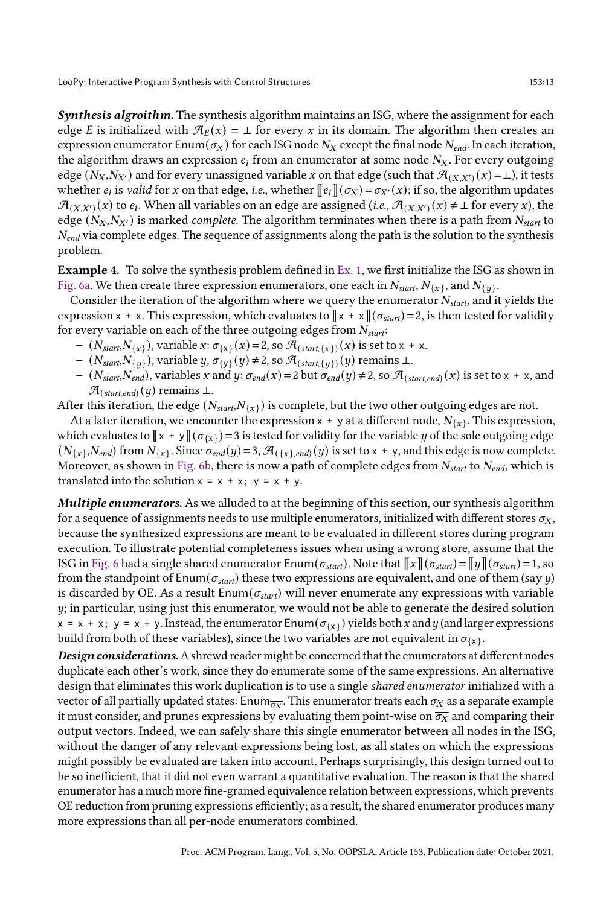Synthesis algroithm. The synthesis algorithm maintains an ISG, where the assignment for each edge E is initialized with  $\mathcal{A}_E(x) = \perp$  for every x in its domain. The algorithm then creates an expression enumerator Enum( $\sigma_X$ ) for each ISG node  $N_X$  except the final node  $N_{end}$ . In each iteration, the algorithm draws an expression  $e_i$  from an enumerator at some node  $N_X$ . For every outgoing edge  $(N_X, N_{X'})$  and for every unassigned variable x on that edge (such that  $\mathcal{A}_{(X,X')}(x) = \bot$ ), it tests whether  $e_i$  is *valid* for x on that edge, *i.e.*, whether  $[[e_i]](\sigma_X) = \sigma_{X'}(x)$ ; if so, the algorithm updates  $\mathcal{A}_{(X,X')}(x)$  to  $e_i$ . When all variables on an edge are assigned (*i.e.*,  $\mathcal{A}_{(X,X')}(x) \neq \bot$  for every x), the edge ( $N_X, N_{X'}$ ) is marked *complete*. The algorithm terminates when there is a path from  $N_{start}$  to  $N_{end}$  via complete edges. The sequence of assignments along the path is the solution to the synthesis problem.

Example 4. To solve the synthesis problem defined in [Ex. 1,](#page-10-2) we first initialize the ISG as shown in [Fig. 6a.](#page-11-1) We then create three expression enumerators, one each in  $N_{\mathit{start}}, N_{\{x\}},$  and  $N_{\{y\}}.$ 

Consider the iteration of the algorithm where we query the enumerator  $N_{\text{start}}$ , and it yields the expression x + x. This expression, which evaluates to  $\Vert x + x \Vert (\sigma_{start}) = 2$ , is then tested for validity for every variable on each of the three outgoing edges from  $N_{\text{start}}$ :

- $-$  ( $N_{start}, N_{\{x\}}$ ), variable  $x: \sigma_{\{x\}}(x) = 2$ , so  $\mathcal{A}_{(start,\{x\})}(x)$  is set to  $x + x$ .
- $(N_{start},N_{y})$ , variable  $y, \sigma_{y}(y) \neq 2$ , so  $\mathcal{A}_{(start, \{y\})}(y)$  remains ⊥.
- $-(N_{start},N_{end})$ , variables x and y:  $\sigma_{end}(x) = 2$  but  $\sigma_{end}(y) \neq 2$ , so  $\mathcal{A}_{(start, end)}(x)$  is set to x + x, and  $\mathcal{A}_{(start\, end)}(y)$  remains ⊥.

After this iteration, the edge ( $N_{start}N_{\{x\}}$ ) is complete, but the two other outgoing edges are not.

At a later iteration, we encounter the expression  $x + y$  at a different node,  $N_{\{x\}}.$  This expression, which evaluates to  $\Vert x + y \Vert (\sigma_{\{x\}}) = 3$  is tested for validity for the variable y of the sole outgoing edge  $(N_{\{x\}},N_{end})$  from  $N_{\{x\}}$ . Since  $\sigma_{end}(y)$  = 3,  $\mathcal{A}_{(\{x\},end)}(y)$  is set to x + y, and this edge is now complete. Moreover, as shown in [Fig. 6b,](#page-11-1) there is now a path of complete edges from  $N_{start}$  to  $N_{end}$ , which is translated into the solution  $x = x + x$ ;  $y = x + y$ .

Multiple enumerators. As we alluded to at the beginning of this section, our synthesis algorithm for a sequence of assignments needs to use multiple enumerators, initialized with different stores  $\sigma_X$ , because the synthesized expressions are meant to be evaluated in different stores during program execution. To illustrate potential completeness issues when using a wrong store, assume that the ISG in [Fig. 6](#page-11-1) had a single shared enumerator  $\text{Enum}(\sigma_{start})$ . Note that  $\|\bm{x}\|(\sigma_{start}) = \|\bm{y}\|(\sigma_{start}) = 1$ , so from the standpoint of Enum( $\sigma_{start}$ ) these two expressions are equivalent, and one of them (say y) is discarded by OE. As a result  $\text{Enum}(\sigma_{start})$  will never enumerate any expressions with variable  $y$ ; in particular, using just this enumerator, we would not be able to generate the desired solution  $x = x + x$ ;  $y = x + y$ . Instead, the enumerator Enum $(\sigma_{x})$  yields both x and y (and larger expressions build from both of these variables), since the two variables are not equivalent in  $\sigma_{\{x\}}.$ 

**Design considerations.** A shrewd reader might be concerned that the enumerators at different nodes duplicate each other's work, since they do enumerate some of the same expressions. An alternative design that eliminates this work duplication is to use a single shared enumerator initialized with a vector of all partially updated states: Enum $_{\overline{\sigma_X}}.$  This enumerator treats each  $\sigma_X$  as a separate example it must consider, and prunes expressions by evaluating them point-wise on  $\overline{\sigma_X}$  and comparing their output vectors. Indeed, we can safely share this single enumerator between all nodes in the ISG, without the danger of any relevant expressions being lost, as all states on which the expressions might possibly be evaluated are taken into account. Perhaps surprisingly, this design turned out to be so inefficient, that it did not even warrant a quantitative evaluation. The reason is that the shared enumerator has a much more fine-grained equivalence relation between expressions, which prevents OE reduction from pruning expressions efficiently; as a result, the shared enumerator produces many more expressions than all per-node enumerators combined.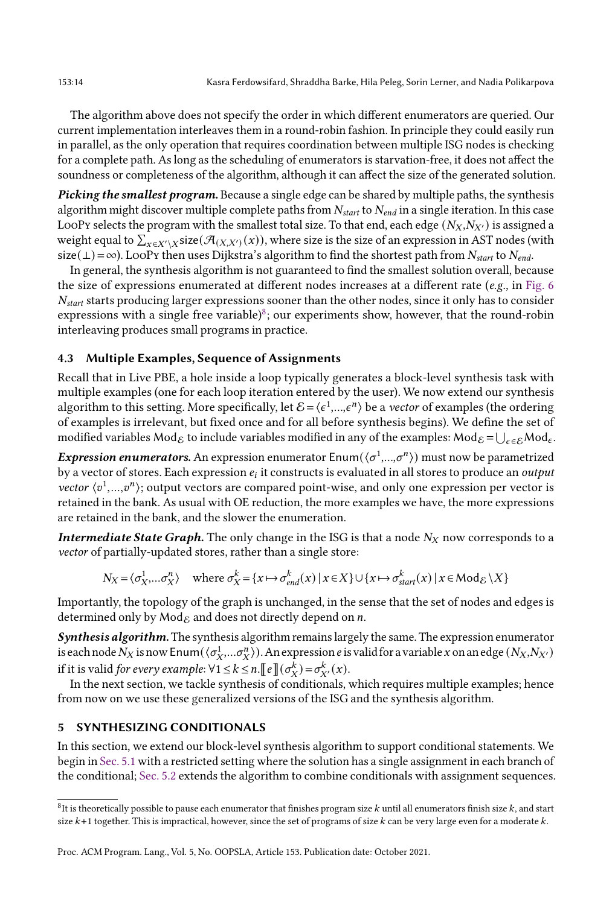The algorithm above does not specify the order in which different enumerators are queried. Our current implementation interleaves them in a round-robin fashion. In principle they could easily run in parallel, as the only operation that requires coordination between multiple ISG nodes is checking for a complete path. As long as the scheduling of enumerators is starvation-free, it does not affect the soundness or completeness of the algorithm, although it can affect the size of the generated solution.

Picking the smallest program. Because a single edge can be shared by multiple paths, the synthesis algorithm might discover multiple complete paths from  $N_{start}$  to  $N_{end}$  in a single iteration. In this case LooPy selects the program with the smallest total size. To that end, each edge  $(N_X, N_{X'})$  is assigned a weight equal to  $\sum_{x\in X'\setminus X}$ size $(\mathcal{A}_{(X,X')}(x))$ , where size is the size of an expression in AST nodes (with size(⊥) = ∞). LooPy then uses Dijkstra's algorithm to find the shortest path from  $N_{start}$  to  $N_{end}$ .

In general, the synthesis algorithm is not guaranteed to find the smallest solution overall, because the size of expressions enumerated at different nodes increases at a different rate (e.g., in [Fig. 6](#page-11-1)  $N_{start}$  starts producing larger expressions sooner than the other nodes, since it only has to consider expressions with a single free variable) $\delta$ ; our experiments show, however, that the round-robin interleaving produces small programs in practice.

# <span id="page-13-1"></span>4.3 Multiple Examples, Sequence of Assignments

Recall that in Live PBE, a hole inside a loop typically generates a block-level synthesis task with multiple examples (one for each loop iteration entered by the user). We now extend our synthesis algorithm to this setting. More specifically, let  $\mathcal{E} = \langle \epsilon^1,...,\epsilon^n \rangle$  be a *vector* of examples (the ordering of examples is irrelevant, but fixed once and for all before synthesis begins). We define the set of modified variables  $\mathsf{Mod}_{\mathcal{E}}$  to include variables modified in any of the examples:  $\mathsf{Mod}_{\mathcal{E}}=\bigcup_{\epsilon\in\mathcal{E}}\mathsf{Mod}_\epsilon$ .

*Expression enumerators*. An expression enumerator Enum $(\langle \sigma^1,...,\sigma^n \rangle)$  must now be parametrized by a vector of stores. Each expression  $e_i$  it constructs is evaluated in all stores to produce an  $\emph{output}$ vector  $\langle v^1,...,v^n \rangle$ ; output vectors are compared point-wise, and only one expression per vector is retained in the bank. As usual with OE reduction, the more examples we have, the more expressions are retained in the bank, and the slower the enumeration.

**Intermediate State Graph.** The only change in the ISG is that a node  $N_X$  now corresponds to a vector of partially-updated stores, rather than a single store:

$$
N_X = \langle \sigma_X^1, \dots \sigma_X^n \rangle \quad \text{where } \sigma_X^k = \{ x \mapsto \sigma_{end}^k(x) \mid x \in X \} \cup \{ x \mapsto \sigma_{start}^k(x) \mid x \in \text{Mod}_{\mathcal{E}} \setminus X \}
$$

Importantly, the topology of the graph is unchanged, in the sense that the set of nodes and edges is determined only by  $\text{Mod}_{\mathcal{E}}$  and does not directly depend on *n*.

Synthesis algorithm. The synthesis algorithm remains largely the same. The expression enumerator is each node  $N_X$  is now Enum( $\langle \sigma_X^1,...\sigma_X^n\rangle$ ). An expression  $e$  is valid for a variable  $x$  on an edge  $(N_X,N_{X'})$ if it is valid for every example:  $\forall 1 \leq k \leq n$ .  $\llbracket e \rrbracket (\sigma_X^k) = \sigma_{X'}^k(x)$ .

In the next section, we tackle synthesis of conditionals, which requires multiple examples; hence from now on we use these generalized versions of the ISG and the synthesis algorithm.

# <span id="page-13-0"></span>5 SYNTHESIZING CONDITIONALS

In this section, we extend our block-level synthesis algorithm to support conditional statements. We begin in [Sec. 5.1](#page-14-0) with a restricted setting where the solution has a single assignment in each branch of the conditional; [Sec. 5.2](#page-15-0) extends the algorithm to combine conditionals with assignment sequences.

<span id="page-13-2"></span> $^8$ It is theoretically possible to pause each enumerator that finishes program size  $k$  until all enumerators finish size  $k$ , and start size  $k+1$  together. This is impractical, however, since the set of programs of size  $k$  can be very large even for a moderate  $k$ .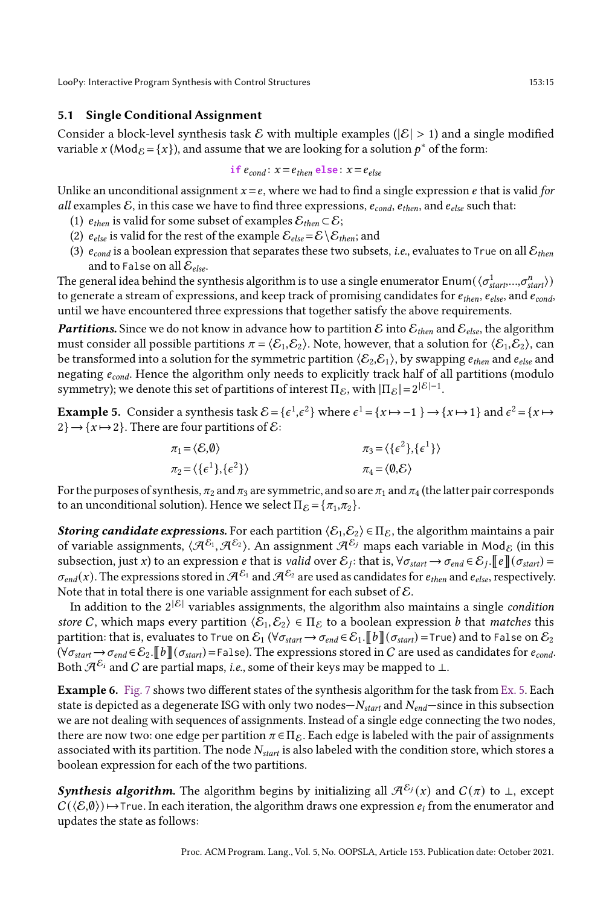## <span id="page-14-0"></span>5.1 Single Conditional Assignment

Consider a block-level synthesis task  $\mathcal E$  with multiple examples ( $|\mathcal E| > 1$ ) and a single modified variable x (Mod $_{\mathcal{E}} = \{x\}$ ), and assume that we are looking for a solution  $p^*$  of the form:

$$
if econd: x = ethen else: x = eelse
$$

Unlike an unconditional assignment  $x = e$ , where we had to find a single expression  $e$  that is valid for all examples  $\mathcal E$ , in this case we have to find three expressions,  $e_{cond}$ ,  $e_{then}$ , and  $e_{else}$  such that:

- (1)  $e_{then}$  is valid for some subset of examples  $\mathcal{E}_{then} \subset \mathcal{E}$ ;
- (2)  $e_{else}$  is valid for the rest of the example  $\mathcal{E}_{else} = \mathcal{E} \setminus \mathcal{E}_{then}$ ; and
- (3)  $e_{cond}$  is a boolean expression that separates these two subsets, *i.e.*, evaluates to True on all  $\mathcal{E}_{then}$ and to False on all  $\mathcal{E}_{else}$ .

The general idea behind the synthesis algorithm is to use a single enumerator  ${\sf Enum}(\langle\sigma^1_{start},...,\sigma^n_{start}\rangle)$ to generate a stream of expressions, and keep track of promising candidates for  $e_{then}$ ,  $e_{else}$ , and  $e_{cond}$ , until we have encountered three expressions that together satisfy the above requirements.

**Partitions.** Since we do not know in advance how to partition  $\mathcal{E}$  into  $\mathcal{E}_{then}$  and  $\mathcal{E}_{else}$ , the algorithm must consider all possible partitions  $\pi = \langle \mathcal{E}_1, \mathcal{E}_2 \rangle$ . Note, however, that a solution for  $\langle \mathcal{E}_1, \mathcal{E}_2 \rangle$ , can be transformed into a solution for the symmetric partition  $\langle \mathcal{E}_2,\mathcal{E}_1\rangle$ , by swapping  $e_{then}$  and  $e_{else}$  and negating  $e_{cond}$ . Hence the algorithm only needs to explicitly track half of all partitions (modulo symmetry); we denote this set of partitions of interest  $\Pi_{\mathcal{E}}$ , with  $|\Pi_{\mathcal{E}}| = 2^{|\mathcal{E}|-1}$ .

<span id="page-14-1"></span>**Example 5.** Consider a synthesis task  $\mathcal{E} = \{ \epsilon^1, \epsilon^2 \}$  where  $\epsilon^1 = \{ x \mapsto -1 \} \to \{ x \mapsto 1 \}$  and  $\epsilon^2 = \{ x \mapsto -1 \}$  $2\} \rightarrow \{x \mapsto 2\}$ . There are four partitions of  $\mathcal{E}$ :

$$
\pi_1 = \langle \mathcal{E}, \mathbf{0} \rangle \qquad \pi_3 = \langle \{ \epsilon^2 \}, \{ \epsilon^1 \} \rangle
$$
  

$$
\pi_2 = \langle \{ \epsilon^1 \}, \{ \epsilon^2 \} \rangle \qquad \pi_4 = \langle \mathbf{0}, \mathcal{E} \rangle
$$

For the purposes of synthesis,  $\pi_2$  and  $\pi_3$  are symmetric, and so are  $\pi_1$  and  $\pi_4$  (the latter pair corresponds to an unconditional solution). Hence we select  $\Pi_{\mathcal{E}} = {\pi_1, \pi_2}.$ 

**Storing candidate expressions.** For each partition  $\langle \mathcal{E}_1, \mathcal{E}_2 \rangle \in \Pi_{\mathcal{E}}$ , the algorithm maintains a pair of variable assignments,  $\langle\mathcal{A}^{\mathcal{E}_1},\mathcal{A}^{\mathcal{E}_2}\rangle$ . An assignment  $\mathcal{A}^{\mathcal{E}_j}$  maps each variable in Mod $_\mathcal{E}$  (in this subsection, just x) to an expression  $e$  that is valid over  $\mathcal{E}_j$ : that is,  $\forall \sigma_{start} \to \sigma_{end} \in \mathcal{E}_j$ .  $[\![e]\!](\sigma_{start})$  =  $\sigma_{end}(x)$ . The expressions stored in  $\mathcal{A}^{\mathcal{E}_1}$  and  $\mathcal{A}^{\mathcal{E}_2}$  are used as candidates for  $e_{then}$  and  $e_{else}$ , respectively. Note that in total there is one variable assignment for each subset of  $\mathcal{E}$ .

In addition to the  $2|\mathcal{E}|$  variables assignments, the algorithm also maintains a single *condition* store C, which maps every partition  $\langle \mathcal{E}_1, \mathcal{E}_2 \rangle \in \Pi_{\mathcal{E}}$  to a boolean expression *b* that *matches* this partition: that is, evaluates to True on  $\mathcal{E}_1$  ( $\forall \sigma_{start} \rightarrow \sigma_{end} \in \mathcal{E}_1$ .  $[b]$  ( $\sigma_{start}$ ) =True) and to False on  $\mathcal{E}_2$  $(\forall \sigma_{start} \rightarrow \sigma_{end} \in \mathcal{E}_2$ .  $[\![b]\!](\sigma_{start})$  = False). The expressions stored in C are used as candidates for  $e_{cond}$ . Both  $\mathcal{A}^{\mathcal{E}_i}$  and C are partial maps, *i.e.*, some of their keys may be mapped to  $\perp$ .

Example 6. [Fig. 7](#page-15-1) shows two different states of the synthesis algorithm for the task from [Ex. 5.](#page-14-1) Each state is depicted as a degenerate ISG with only two nodes $-N_{start}$  and  $N_{end}$ -since in this subsection we are not dealing with sequences of assignments. Instead of a single edge connecting the two nodes, there are now two: one edge per partition  $\pi \in \Pi_{\mathcal{E}}$ . Each edge is labeled with the pair of assignments associated with its partition. The node  $N_{start}$  is also labeled with the condition store, which stores a boolean expression for each of the two partitions.

Synthesis algorithm. The algorithm begins by initializing all  $\mathcal{A}^{\mathcal{E}_j} (x)$  and  $C(π)$  to ⊥, except  $C(\langle \mathcal{E}, \emptyset \rangle) \mapsto$ True. In each iteration, the algorithm draws one expression  $e_i$  from the enumerator and updates the state as follows: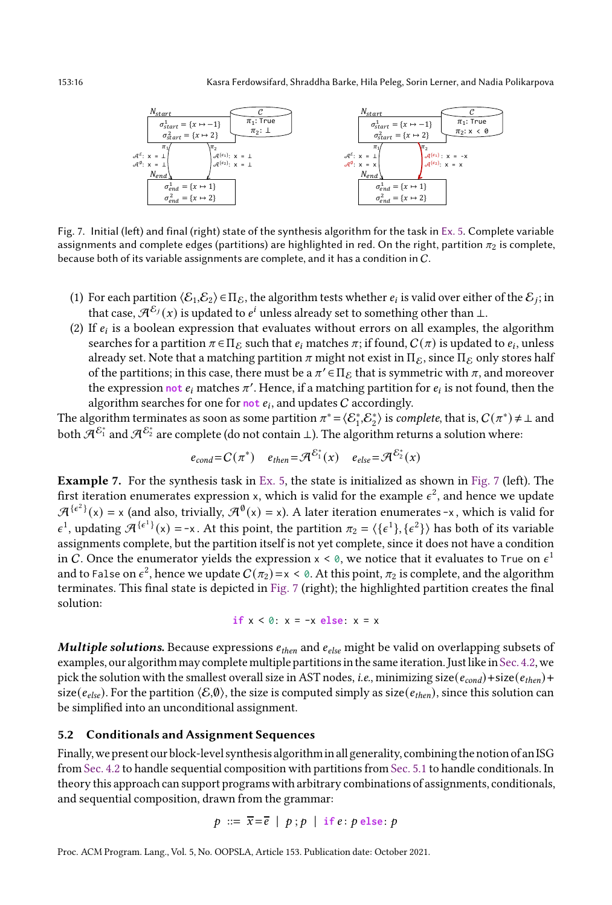<span id="page-15-1"></span>

Fig. 7. Initial (left) and final (right) state of the synthesis algorithm for the task in [Ex. 5.](#page-14-1) Complete variable assignments and complete edges (partitions) are highlighted in red. On the right, partition  $\pi_2$  is complete, because both of its variable assignments are complete, and it has a condition in C.

- (1) For each partition  $\langle \mathcal{E}_1, \mathcal{E}_2 \rangle \in \Pi_{\mathcal{E}}$ , the algorithm tests whether  $e_i$  is valid over either of the  $\mathcal{E}_j$ ; in that case,  $\mathcal{A}^{\mathcal{E}_j}(x)$  is updated to  $e^i$  unless already set to something other than  $\bot$ .
- (2) If  $e_i$  is a boolean expression that evaluates without errors on all examples, the algorithm searches for a partition  $\pi \in \Pi_{\mathcal{E}}$  such that  $e_i$  matches  $\pi$ ; if found,  $C(\pi)$  is updated to  $e_i$ , unless already set. Note that a matching partition  $\pi$  might not exist in  $\Pi_{\mathcal{E}}$ , since  $\Pi_{\mathcal{E}}$  only stores half of the partitions; in this case, there must be a  $\pi' \in \Pi_{\mathcal{E}}$  that is symmetric with  $\pi$ , and moreover the expression not  $e_i$  matches  $\pi'$ . Hence, if a matching partition for  $e_i$  is not found, then the algorithm searches for one for not  $e_i$ , and updates  $C$  accordingly.

The algorithm terminates as soon as some partition  $\pi^* = \langle \mathcal{E}_1^*, \mathcal{E}_2^* \rangle$  is *complete*, that is,  $C(\pi^*) \neq \bot$  and both  $\mathcal{A}^{\mathcal{E}_1^*}$  and  $\mathcal{A}^{\mathcal{E}_2^*}$  are complete (do not contain  $\bot$ ). The algorithm returns a solution where:

$$
e_{cond} = C(\pi^*)
$$
  $e_{then} = \mathcal{A}^{\mathcal{E}_1^*}(x)$   $e_{else} = \mathcal{A}^{\mathcal{E}_2^*}(x)$ 

Example 7. For the synthesis task in [Ex. 5,](#page-14-1) the state is initialized as shown in [Fig. 7](#page-15-1) (left). The first iteration enumerates expression x, which is valid for the example  $\epsilon^2$ , and hence we update  $\mathcal{A}^{\{\epsilon^2\}}(x) = x$  (and also, trivially,  $\mathcal{A}^\emptyset(x) = x$ ). A later iteration enumerates -x, which is valid for  $\epsilon^1$ , updating  $\mathcal{A}^{\{\epsilon^1\}}(x) = -x$ . At this point, the partition  $\pi_2 = \langle \{\epsilon^1\}, \{\epsilon^2\} \rangle$  has both of its variable assignments complete, but the partition itself is not yet complete, since it does not have a condition in C. Once the enumerator yields the expression  $x < \theta$ , we notice that it evaluates to True on  $\epsilon^1$ and to False on  $\epsilon^2$ , hence we update  $C(\pi_2)$  = x < 0. At this point,  $\pi_2$  is complete, and the algorithm terminates. This final state is depicted in [Fig. 7](#page-15-1) (right); the highlighted partition creates the final solution:

$$
\mathbf{if} \ \mathbf{x} < \emptyset \colon \mathbf{x} = -\mathbf{x} \ \mathbf{else} \quad \mathbf{x} = \mathbf{x}
$$

**Multiple solutions.** Because expressions  $e_{then}$  and  $e_{else}$  might be valid on overlapping subsets of examples, our algorithm may complete multiple partitions in the same iteration. Just like in [Sec. 4.2,](#page-11-0) we pick the solution with the smallest overall size in AST nodes, i.e., minimizing size( $e_{cond}$ )+size( $e_{then}$ )+ size( $e_{else}$ ). For the partition  $\langle \mathcal{E}, \emptyset \rangle$ , the size is computed simply as size( $e_{then}$ ), since this solution can be simplified into an unconditional assignment.

#### <span id="page-15-0"></span>5.2 Conditionals and Assignment Sequences

Finally,we present our block-level synthesis algorithmin all generality, combining the notion of anISG from [Sec. 4.2](#page-11-0) to handle sequential composition with partitions from [Sec. 5.1](#page-14-0) to handle conditionals. In theory this approach can support programs with arbitrary combinations of assignments, conditionals, and sequential composition, drawn from the grammar:

$$
p ::= \overline{x} = \overline{e} | p; p | \text{if } e: p \text{ else: } p
$$

Proc. ACM Program. Lang., Vol. 5, No. OOPSLA, Article 153. Publication date: October 2021.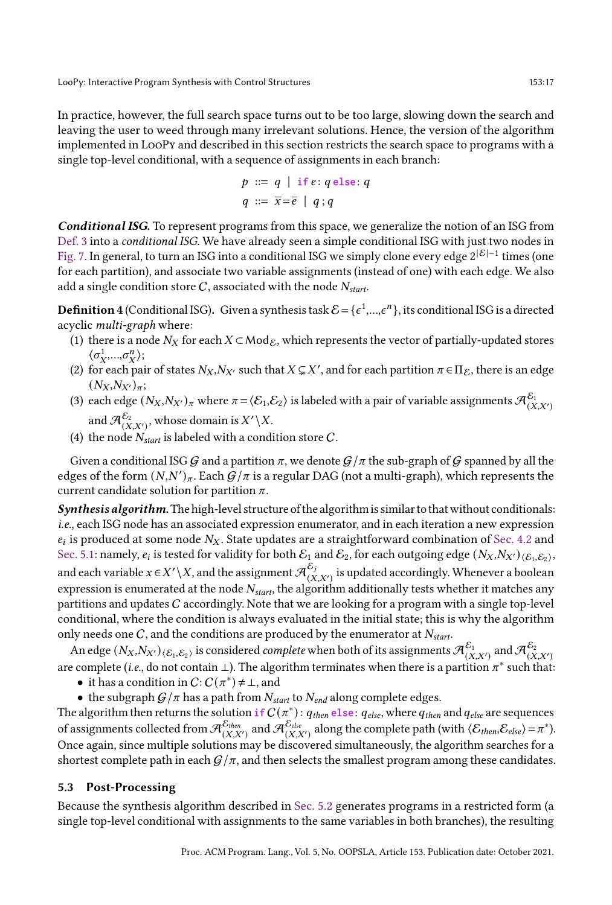In practice, however, the full search space turns out to be too large, slowing down the search and leaving the user to weed through many irrelevant solutions. Hence, the version of the algorithm implemented in LooPy and described in this section restricts the search space to programs with a single top-level conditional, with a sequence of assignments in each branch:

$$
p ::= q | if e: q \text{ else: } q
$$

$$
q ::= \overline{x} = \overline{e} | q; q
$$

Conditional ISG. To represent programs from this space, we generalize the notion of an ISG from [Def. 3](#page-11-2) into a conditional ISG. We have already seen a simple conditional ISG with just two nodes in [Fig. 7.](#page-15-1) In general, to turn an ISG into a conditional ISG we simply clone every edge 2 $^{\lfloor\mathcal{E}\rfloor - 1}$  times (one for each partition), and associate two variable assignments (instead of one) with each edge. We also add a single condition store C, associated with the node  $N_{start}$ .

**Definition 4** (Conditional ISG). Given a synthesis task  $\mathcal{E} = \{\epsilon^1,...,\epsilon^n\}$ , its conditional ISG is a directed acyclic multi-graph where:

- (1) there is a node  $N_X$  for each  $X \subset Mod_{\mathcal{E}}$ , which represents the vector of partially-updated stores  $\langle \sigma_X^1,...,\sigma_X^n \rangle;$
- (2) for each pair of states  $N_X, N_{X'}$  such that  $X \subsetneq X'$ , and for each partition  $\pi \in \Pi_{\mathcal{E}}$ , there is an edge  $(N_X, N_{X'})_{\pi};$
- (3) each edge  $(N_X, N_{X'})_\pi$  where  $\pi = \langle \mathcal{E}_1, \mathcal{E}_2 \rangle$  is labeled with a pair of variable assignments  $\mathcal{A}_{(X,X')}^{\mathcal{E}_1}$ and  $\mathcal{A}_{(X,X')}^{\mathcal{E}_2}$  , whose domain is  $X'\backslash X.$
- (4) the node  $N_{start}$  is labeled with a condition store C.

Given a conditional ISG G and a partition  $\pi$ , we denote  $G/\pi$  the sub-graph of G spanned by all the edges of the form  $(N, N')_\pi$ . Each  $\mathcal{G}/\pi$  is a regular DAG (not a multi-graph), which represents the current candidate solution for partition  $\pi$ .

Synthesis algorithm. The high-level structure of the algorithm is similar to that without conditionals: i.e., each ISG node has an associated expression enumerator, and in each iteration a new expression  $e_i$  is produced at some node  $N_X$ . State updates are a straightforward combination of [Sec. 4.2](#page-11-0) and [Sec. 5.1:](#page-14-0) namely,  $e_i$  is tested for validity for both  $\mathcal{E}_1$  and  $\mathcal{E}_2$ , for each outgoing edge  $(N_X,N_{X'})_{\langle\mathcal{E}_1,\mathcal{E}_2\rangle},$ and each variable  $x\!\in\!X'\backslash X$ , and the assignment  $\mathcal{A}^{\mathcal{E}_{j}}_{\alpha}$  $\sum_{(X,X')}$  is updated accordingly. Whenever a boolean expression is enumerated at the node  $N_{start}$ , the algorithm additionally tests whether it matches any partitions and updates C accordingly. Note that we are looking for a program with a single top-level conditional, where the condition is always evaluated in the initial state; this is why the algorithm only needs one  $C$ , and the conditions are produced by the enumerator at  $N_{start}$ .

An edge  $(N_X,N_{X'})_{\langle\mathcal E_1,\mathcal E_2\rangle}$  is considered *complete* when both of its assignments  $\mathcal A_{(X,X')}^{\mathcal E_1}$  and  $\mathcal A_{(X,X')}^{\mathcal E_2}$ are complete (i.e., do not contain ⊥). The algorithm terminates when there is a partition  $\pi^*$  such that:

- it has a condition in  $C: C(\pi^*) \neq \bot$ , and
- the subgraph  $G/\pi$  has a path from  $N_{start}$  to  $N_{end}$  along complete edges.

The algorithm then returns the solution  $if C(\pi^*)$  :  $q_{then}$  else :  $q_{else}$ , where  $q_{then}$  and  $q_{else}$  are sequences of assignments collected from  $\mathcal{A}_{(X,X')}^{\mathcal{E}_{\textit{then}}}$  and  $\mathcal{A}_{(X,X')}^{\mathcal{E}_{\textit{else}}}$  along the complete path (with  $\langle \mathcal{E}_{\textit{then}}, \mathcal{E}_{\textit{else}} \rangle \! = \! \pi^*$ ). Once again, since multiple solutions may be discovered simultaneously, the algorithm searches for a shortest complete path in each  $G/\pi$ , and then selects the smallest program among these candidates.

#### <span id="page-16-0"></span>5.3 Post-Processing

Because the synthesis algorithm described in [Sec. 5.2](#page-15-0) generates programs in a restricted form (a single top-level conditional with assignments to the same variables in both branches), the resulting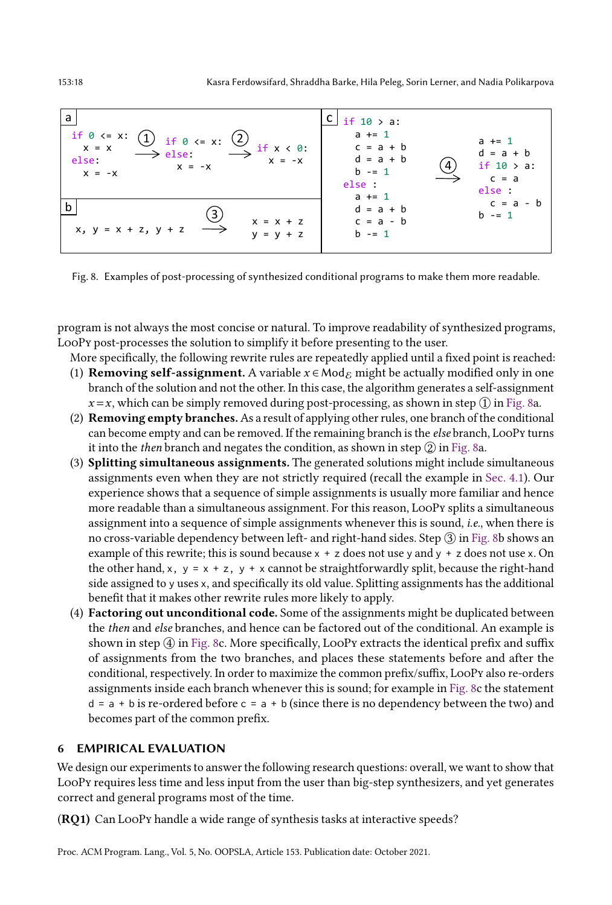<span id="page-17-0"></span>

Fig. 8. Examples of post-processing of synthesized conditional programs to make them more readable.

program is not always the most concise or natural. To improve readability of synthesized programs, LooPy post-processes the solution to simplify it before presenting to the user.

More specifically, the following rewrite rules are repeatedly applied until a fixed point is reached:

- (1) **Removing self-assignment.** A variable  $x \in \text{Mod}_{\mathcal{E}}$  might be actually modified only in one branch of the solution and not the other. In this case, the algorithm generates a self-assignment  $x=x$ , which can be simply removed during post-processing, as shown in step  $\Omega$  in [Fig. 8a](#page-17-0).
- (2) Removing empty branches.As a result of applying other rules, one branch of the conditional can become empty and can be removed. If the remaining branch is the *else* branch, LooPy turns it into the then branch and negates the condition, as shown in step  $\mathcal{Q}$  in [Fig. 8a](#page-17-0).
- (3) Splitting simultaneous assignments. The generated solutions might include simultaneous assignments even when they are not strictly required (recall the example in [Sec. 4.1\)](#page-10-0). Our experience shows that a sequence of simple assignments is usually more familiar and hence more readable than a simultaneous assignment. For this reason, LooPy splits a simultaneous assignment into a sequence of simple assignments whenever this is sound, i.e., when there is no cross-variable dependency between left- and right-hand sides. Step  $\circled3$  in [Fig. 8b](#page-17-0) shows an example of this rewrite; this is sound because  $x + z$  does not use y and  $y + z$  does not use x. On the other hand, x,  $y = x + z$ ,  $y + x$  cannot be straightforwardly split, because the right-hand side assigned to y uses x, and specifically its old value. Splitting assignments has the additional benefit that it makes other rewrite rules more likely to apply.
- (4) Factoring out unconditional code. Some of the assignments might be duplicated between the then and else branches, and hence can be factored out of the conditional. An example is shown in step  $\overline{4}$  in [Fig. 8c](#page-17-0). More specifically, LooPy extracts the identical prefix and suffix of assignments from the two branches, and places these statements before and after the conditional, respectively. In order to maximize the common prefix/suffix, LooPy also re-orders assignments inside each branch whenever this is sound; for example in [Fig. 8c](#page-17-0) the statement  $d = a + b$  is re-ordered before  $c = a + b$  (since there is no dependency between the two) and becomes part of the common prefix.

# <span id="page-17-1"></span>6 EMPIRICAL EVALUATION

We design our experiments to answer the following research questions: overall, we want to show that LooPy requires less time and less input from the user than big-step synthesizers, and yet generates correct and general programs most of the time.

(RQ1) Can LooPy handle a wide range of synthesis tasks at interactive speeds?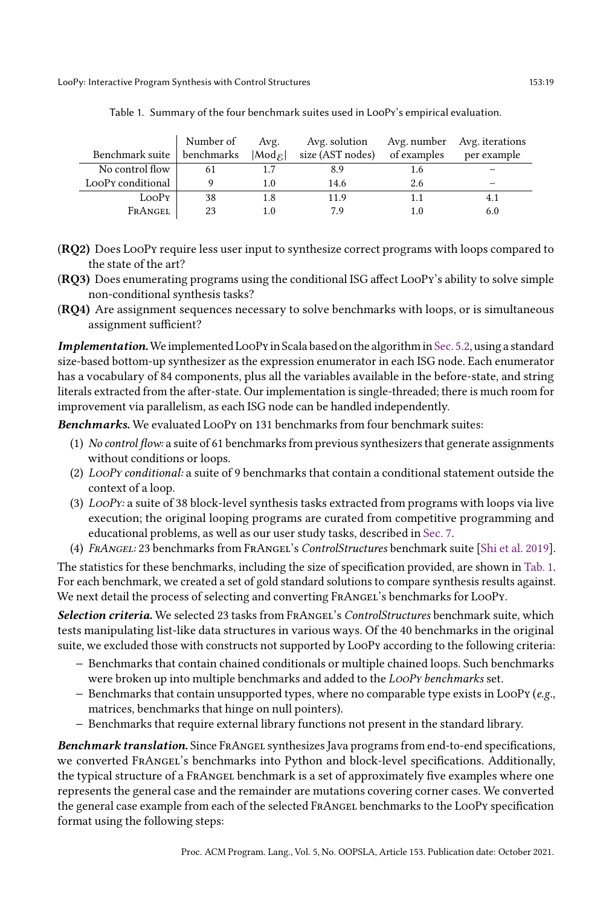<span id="page-18-0"></span>

|                   | Number of  | Avg.                  | Avg. solution    |             | Avg. number Avg. iterations |
|-------------------|------------|-----------------------|------------------|-------------|-----------------------------|
| Benchmark suite   | benchmarks | $ Mod_{\mathcal{E}} $ | size (AST nodes) | of examples | per example                 |
| No control flow   | 61         |                       | 8.9              | 1.6         |                             |
| LooPy conditional |            | 1.0                   | 14.6             | 2.6         |                             |
| LooPy             | 38         | 1.8                   | 11.9             |             |                             |
| FRANGEL           | 23         |                       | 79               |             | 6.0                         |

Table 1. Summary of the four benchmark suites used in LooPy's empirical evaluation.

- (RQ2) Does LooPy require less user input to synthesize correct programs with loops compared to the state of the art?
- (RQ3) Does enumerating programs using the conditional ISG affect LooPy's ability to solve simple non-conditional synthesis tasks?
- (RQ4) Are assignment sequences necessary to solve benchmarks with loops, or is simultaneous assignment sufficient?

Implementation.We implemented LooPy in Scala based on the algorithm in [Sec. 5.2,](#page-15-0) using a standard size-based bottom-up synthesizer as the expression enumerator in each ISG node. Each enumerator has a vocabulary of 84 components, plus all the variables available in the before-state, and string literals extracted from the after-state. Our implementation is single-threaded; there is much room for improvement via parallelism, as each ISG node can be handled independently.

Benchmarks. We evaluated LooPy on 131 benchmarks from four benchmark suites:

- (1) No control flow: a suite of 61 benchmarks from previous synthesizers that generate assignments without conditions or loops.
- (2) LooPy conditional: a suite of 9 benchmarks that contain a conditional statement outside the context of a loop.
- (3) LooPy: a suite of 38 block-level synthesis tasks extracted from programs with loops via live execution; the original looping programs are curated from competitive programming and educational problems, as well as our user study tasks, described in [Sec. 7.](#page-23-0)
- (4) FrAngel: 23 benchmarks from FrAngel's ControlStructures benchmark suite [\[Shi et al.](#page-28-2) [2019\]](#page-28-2).

The statistics for these benchmarks, including the size of specification provided, are shown in [Tab. 1.](#page-18-0) For each benchmark, we created a set of gold standard solutions to compare synthesis results against. We next detail the process of selecting and converting FRANGEL's benchmarks for LOOPy.

Selection criteria. We selected 23 tasks from FRANGEL's ControlStructures benchmark suite, which tests manipulating list-like data structures in various ways. Of the 40 benchmarks in the original suite, we excluded those with constructs not supported by LooPy according to the following criteria:

- − Benchmarks that contain chained conditionals or multiple chained loops. Such benchmarks were broken up into multiple benchmarks and added to the *LooPy benchmarks* set.
- − Benchmarks that contain unsupported types, where no comparable type exists in LooPy (e.g., matrices, benchmarks that hinge on null pointers).
- − Benchmarks that require external library functions not present in the standard library.

Benchmark translation. Since FRANGEL synthesizes Java programs from end-to-end specifications, we converted FrAngel's benchmarks into Python and block-level specifications. Additionally, the typical structure of a FrAngel benchmark is a set of approximately five examples where one represents the general case and the remainder are mutations covering corner cases. We converted the general case example from each of the selected FrAngel benchmarks to the LooPy specification format using the following steps: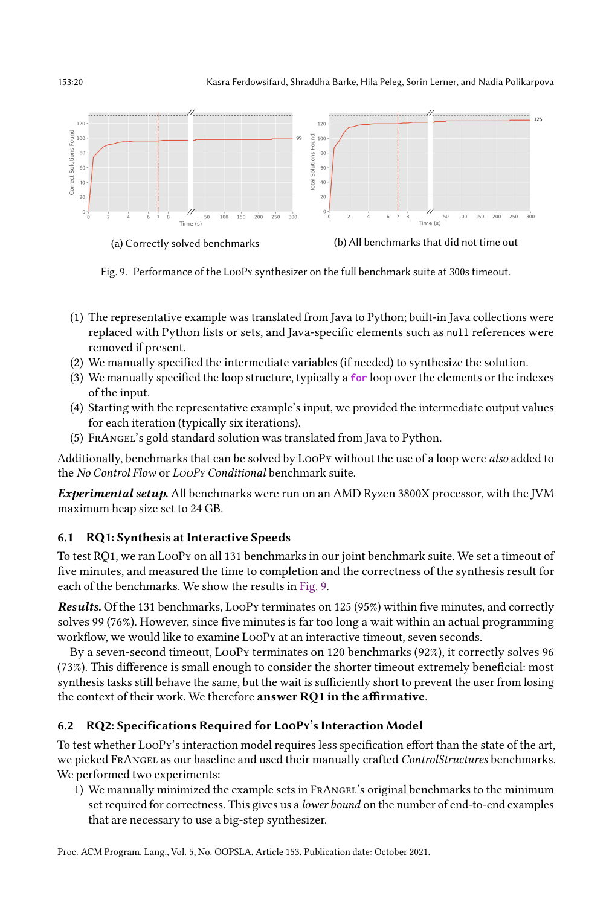#### 153:20 Kasra Ferdowsifard, Shraddha Barke, Hila Peleg, Sorin Lerner, and Nadia Polikarpova

<span id="page-19-0"></span>

Fig. 9. Performance of the LooPy synthesizer on the full benchmark suite at 300s timeout.

- (1) The representative example was translated from Java to Python; built-in Java collections were replaced with Python lists or sets, and Java-specific elements such as null references were removed if present.
- (2) We manually specified the intermediate variables (if needed) to synthesize the solution.
- (3) We manually specified the loop structure, typically a **for** loop over the elements or the indexes of the input.
- (4) Starting with the representative example's input, we provided the intermediate output values for each iteration (typically six iterations).
- (5) FrAngel's gold standard solution was translated from Java to Python.

Additionally, benchmarks that can be solved by LooPy without the use of a loop were also added to the No Control Flow or LooPy Conditional benchmark suite.

Experimental setup. All benchmarks were run on an AMD Ryzen 3800X processor, with the JVM maximum heap size set to 24 GB.

# 6.1 RQ1: Synthesis at Interactive Speeds

To test RQ1, we ran LooPy on all 131 benchmarks in our joint benchmark suite. We set a timeout of five minutes, and measured the time to completion and the correctness of the synthesis result for each of the benchmarks. We show the results in [Fig. 9.](#page-19-0)

Results. Of the 131 benchmarks, LooPy terminates on 125 (95%) within five minutes, and correctly solves 99 (76%). However, since five minutes is far too long a wait within an actual programming workflow, we would like to examine LooPy at an interactive timeout, seven seconds.

By a seven-second timeout, LooPy terminates on 120 benchmarks (92%), it correctly solves 96 (73%). This difference is small enough to consider the shorter timeout extremely beneficial: most synthesis tasks still behave the same, but the wait is sufficiently short to prevent the user from losing the context of their work. We therefore answer RQ1 in the affirmative.

# 6.2 RQ2: Specifications Required for LooPy's Interaction Model

To test whether LooPy's interaction model requires less specification effort than the state of the art, we picked FRANGEL as our baseline and used their manually crafted ControlStructures benchmarks. We performed two experiments:

1) We manually minimized the example sets in FrAngel's original benchmarks to the minimum set required for correctness. This gives us a *lower bound* on the number of end-to-end examples that are necessary to use a big-step synthesizer.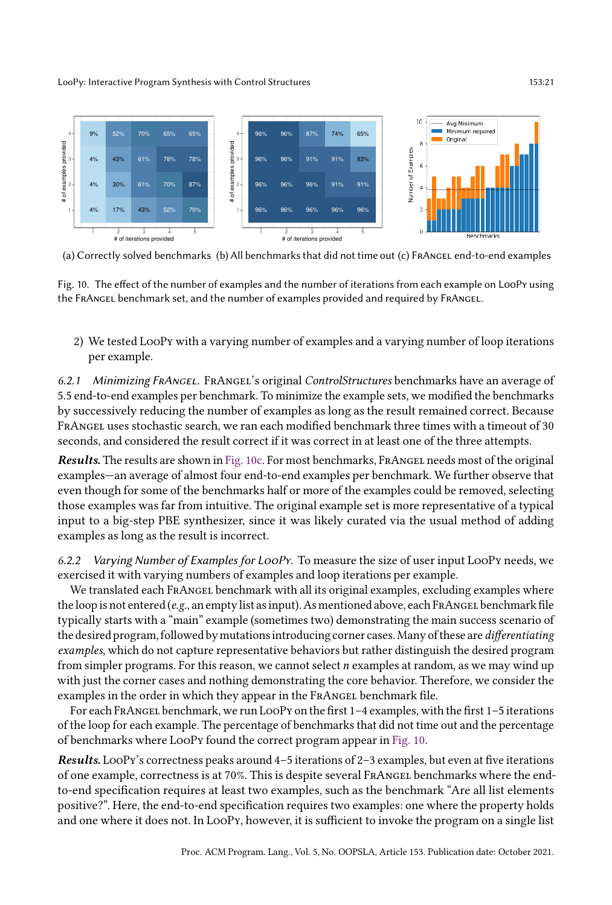<span id="page-20-0"></span>

(a) Correctly solved benchmarks (b) All benchmarks that did not time out (c) FRANGEL end-to-end examples

Fig. 10. The effect of the number of examples and the number of iterations from each example on LooPy using the FrAngel benchmark set, and the number of examples provided and required by FrAngel.

2) We tested LooPy with a varying number of examples and a varying number of loop iterations per example.

6.2.1 Minimizing FrAngel. FrAngel's original ControlStructures benchmarks have an average of 5.5 end-to-end examples per benchmark. To minimize the example sets, we modified the benchmarks by successively reducing the number of examples as long as the result remained correct. Because FrAngel uses stochastic search, we ran each modified benchmark three times with a timeout of 30 seconds, and considered the result correct if it was correct in at least one of the three attempts.

Results. The results are shown in [Fig. 10c.](#page-20-0) For most benchmarks, FRANGEL needs most of the original examples—an average of almost four end-to-end examples per benchmark. We further observe that even though for some of the benchmarks half or more of the examples could be removed, selecting those examples was far from intuitive. The original example set is more representative of a typical input to a big-step PBE synthesizer, since it was likely curated via the usual method of adding examples as long as the result is incorrect.

6.2.2 Varying Number of Examples for LooPy. To measure the size of user input LooPy needs, we exercised it with varying numbers of examples and loop iterations per example.

We translated each FRANGEL benchmark with all its original examples, excluding examples where the loop is not entered (e.g., an empty list as input). As mentioned above, each FRANGEL benchmark file typically starts with a "main" example (sometimes two) demonstrating the main success scenario of the desired program, followed by mutations introducing corner cases.Many of these are differentiating examples, which do not capture representative behaviors but rather distinguish the desired program from simpler programs. For this reason, we cannot select  $n$  examples at random, as we may wind up with just the corner cases and nothing demonstrating the core behavior. Therefore, we consider the examples in the order in which they appear in the FRANGEL benchmark file.

For each FRANGEL benchmark, we run LOOPy on the first 1-4 examples, with the first 1-5 iterations of the loop for each example. The percentage of benchmarks that did not time out and the percentage of benchmarks where LooPy found the correct program appear in [Fig. 10.](#page-20-0)

**Results.** LooPy's correctness peaks around  $4-5$  iterations of  $2-3$  examples, but even at five iterations of one example, correctness is at 70%. This is despite several FrAngel benchmarks where the endto-end specification requires at least two examples, such as the benchmark "Are all list elements positive?ž. Here, the end-to-end specification requires two examples: one where the property holds and one where it does not. In LooPy, however, it is sufficient to invoke the program on a single list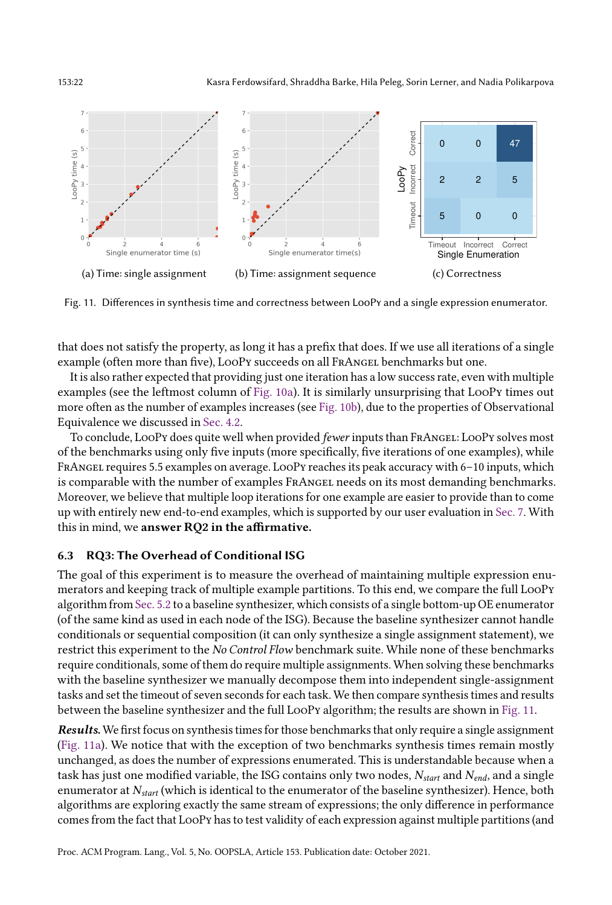153:22 Kasra Ferdowsifard, Shraddha Barke, Hila Peleg, Sorin Lerner, and Nadia Polikarpova

<span id="page-21-0"></span>

Fig. 11. Differences in synthesis time and correctness between LooPy and a single expression enumerator.

that does not satisfy the property, as long it has a prefix that does. If we use all iterations of a single example (often more than five), LooPy succeeds on all FRANGEL benchmarks but one.

It is also rather expected that providing just one iteration has a low success rate, even with multiple examples (see the leftmost column of [Fig. 10a\)](#page-20-0). It is similarly unsurprising that LooPy times out more often as the number of examples increases (see [Fig. 10b\)](#page-20-0), due to the properties of Observational Equivalence we discussed in [Sec. 4.2.](#page-11-0)

To conclude, LooPy does quite well when provided fewer inputs than FRANGEL: LooPy solves most of the benchmarks using only five inputs (more specifically, five iterations of one examples), while FRANGEL requires 5.5 examples on average. LOOPY reaches its peak accuracy with 6-10 inputs, which is comparable with the number of examples FrAngel needs on its most demanding benchmarks. Moreover, we believe that multiple loop iterations for one example are easier to provide than to come up with entirely new end-to-end examples, which is supported by our user evaluation in [Sec. 7.](#page-23-0) With this in mind, we answer RQ2 in the affirmative.

#### 6.3 RQ3: The Overhead of Conditional ISG

The goal of this experiment is to measure the overhead of maintaining multiple expression enumerators and keeping track of multiple example partitions. To this end, we compare the full LooPy algorithm from [Sec. 5.2](#page-15-0) to a baseline synthesizer, which consists of a single bottom-up OE enumerator (of the same kind as used in each node of the ISG). Because the baseline synthesizer cannot handle conditionals or sequential composition (it can only synthesize a single assignment statement), we restrict this experiment to the No Control Flow benchmark suite. While none of these benchmarks require conditionals, some of them do require multiple assignments. When solving these benchmarks with the baseline synthesizer we manually decompose them into independent single-assignment tasks and set the timeout of seven seconds for each task. We then compare synthesis times and results between the baseline synthesizer and the full LooPy algorithm; the results are shown in [Fig. 11.](#page-21-0)

Results. We first focus on synthesis times for those benchmarks that only require a single assignment [\(Fig. 11a\)](#page-21-0). We notice that with the exception of two benchmarks synthesis times remain mostly unchanged, as does the number of expressions enumerated. This is understandable because when a task has just one modified variable, the ISG contains only two nodes,  $N_{start}$  and  $N_{end}$ , and a single enumerator at  $N_{start}$  (which is identical to the enumerator of the baseline synthesizer). Hence, both algorithms are exploring exactly the same stream of expressions; the only difference in performance comes from the fact that LooPy has to test validity of each expression against multiple partitions (and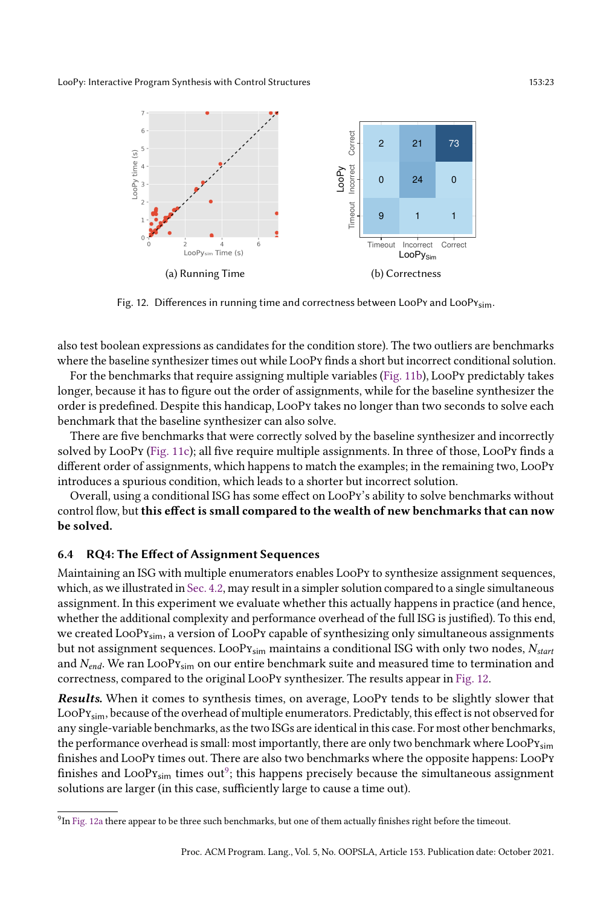<span id="page-22-0"></span>

Fig. 12. Differences in running time and correctness between LooPy and LooPy<sub>sim</sub>.

also test boolean expressions as candidates for the condition store). The two outliers are benchmarks where the baseline synthesizer times out while LooPy finds a short but incorrect conditional solution.

For the benchmarks that require assigning multiple variables [\(Fig. 11b\)](#page-21-0), LooPy predictably takes longer, because it has to figure out the order of assignments, while for the baseline synthesizer the order is predefined. Despite this handicap, LooPy takes no longer than two seconds to solve each benchmark that the baseline synthesizer can also solve.

There are five benchmarks that were correctly solved by the baseline synthesizer and incorrectly solved by LooPy [\(Fig. 11c\)](#page-21-0); all five require multiple assignments. In three of those, LooPy finds a different order of assignments, which happens to match the examples; in the remaining two, LooPy introduces a spurious condition, which leads to a shorter but incorrect solution.

Overall, using a conditional ISG has some effect on LooPy's ability to solve benchmarks without control flow, but this effect is small compared to the wealth of new benchmarks that can now be solved.

#### 6.4 RQ4: The Effect of Assignment Sequences

Maintaining an ISG with multiple enumerators enables LooPy to synthesize assignment sequences, which, as we illustrated in [Sec. 4.2,](#page-11-0) may result in a simpler solution compared to a single simultaneous assignment. In this experiment we evaluate whether this actually happens in practice (and hence, whether the additional complexity and performance overhead of the full ISG is justified). To this end, we created  $Loop_{\text{Sim}}$ , a version of  $Loop_{\text{Y}}$  capable of synthesizing only simultaneous assignments but not assignment sequences. LooP $v_{sim}$  maintains a conditional ISG with only two nodes,  $N_{start}$ and  $N_{end}$ . We ran LooPy<sub>sim</sub> on our entire benchmark suite and measured time to termination and correctness, compared to the original LooPy synthesizer. The results appear in [Fig. 12.](#page-22-0)

Results. When it comes to synthesis times, on average, LooPy tends to be slightly slower that LooPysim, because of the overhead of multiple enumerators. Predictably, this effect is not observed for any single-variable benchmarks, as the two ISGs are identical in this case. For most other benchmarks, the performance overhead is small: most importantly, there are only two benchmark where  $\text{LoopY}_{\text{sim}}$ finishes and LooPy times out. There are also two benchmarks where the opposite happens: LooPy finishes and  $\text{LoopY}_{\text{sim}}$  times  $\text{out}^9$  $\text{out}^9$ ; this happens precisely because the simultaneous assignment solutions are larger (in this case, sufficiently large to cause a time out).

<span id="page-22-1"></span> $^9$ In [Fig. 12a](#page-22-0) there appear to be three such benchmarks, but one of them actually finishes right before the timeout.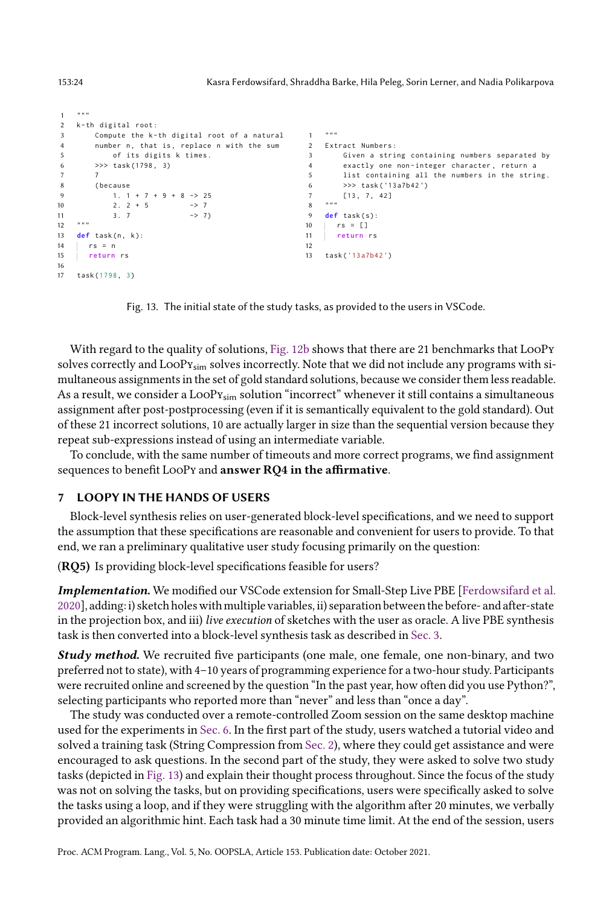```
1 """
2 k-th digital root:
3 Compute the k-th digital root of a natural
4 number n, that is, replace n with the sum
5 of its digits k times .
6 >>> task (1798 , 3)
7 7
8 ( because
9 1. 1 + 7 + 9 + 8 -> 25
10 2. 2 + 5 -> 7<br>11 3. 7 -> 7)
1213 def task(n, k):
14 rs = n
15 return rs
16
17 task (1798, 3)
                                                  \mathbf{r}2 Extract Numbers :
                                                  3 Given a string containing numbers separated by
                                                  4 exactly one non - integer character , return a
                                                  5 list containing all the numbers in the string .
                                                  6 >>> task ( '13 a7b42 ')
                                                  7 [13 , 7 , 42]
                                                  \frac{1}{8} """
                                                  9 def task ( s ):
                                                 10 rs = []
                                                 11 return rs
                                                 12
                                                 13 task (' 13 a7b42 ')
```
Fig. 13. The initial state of the study tasks, as provided to the users in VSCode.

With regard to the quality of solutions, [Fig. 12b](#page-22-0) shows that there are 21 benchmarks that LooPy solves correctly and LooPy<sub>sim</sub> solves incorrectly. Note that we did not include any programs with simultaneous assignments in the set of gold standard solutions, because we consider them less readable. As a result, we consider a LooP $y_{sim}$  solution "incorrect" whenever it still contains a simultaneous assignment after post-postprocessing (even if it is semantically equivalent to the gold standard). Out of these 21 incorrect solutions, 10 are actually larger in size than the sequential version because they repeat sub-expressions instead of using an intermediate variable.

To conclude, with the same number of timeouts and more correct programs, we find assignment sequences to benefit LooPy and answer RQ4 in the affirmative.

#### <span id="page-23-0"></span>7 LOOPY IN THE HANDS OF USERS

Block-level synthesis relies on user-generated block-level specifications, and we need to support the assumption that these specifications are reasonable and convenient for users to provide. To that end, we ran a preliminary qualitative user study focusing primarily on the question:

(RQ5) Is providing block-level specifications feasible for users?

Implementation. We modified our VSCode extension for Small-Step Live PBE [\[Ferdowsifard et al.](#page-27-4) [2020\]](#page-27-4), adding: i) sketch holes with multiple variables, ii) separation between the before- and after-state in the projection box, and iii) live execution of sketches with the user as oracle. A live PBE synthesis task is then converted into a block-level synthesis task as described in [Sec. 3.](#page-8-1)

Study method. We recruited five participants (one male, one female, one non-binary, and two preferred not to state), with 4-10 years of programming experience for a two-hour study. Participants were recruited online and screened by the question "In the past year, how often did you use Python?", selecting participants who reported more than "never" and less than "once a day".

The study was conducted over a remote-controlled Zoom session on the same desktop machine used for the experiments in [Sec. 6.](#page-17-1) In the first part of the study, users watched a tutorial video and solved a training task (String Compression from [Sec. 2\)](#page-3-0), where they could get assistance and were encouraged to ask questions. In the second part of the study, they were asked to solve two study tasks (depicted in [Fig. 13\)](#page-23-1) and explain their thought process throughout. Since the focus of the study was not on solving the tasks, but on providing specifications, users were specifically asked to solve the tasks using a loop, and if they were struggling with the algorithm after 20 minutes, we verbally provided an algorithmic hint. Each task had a 30 minute time limit. At the end of the session, users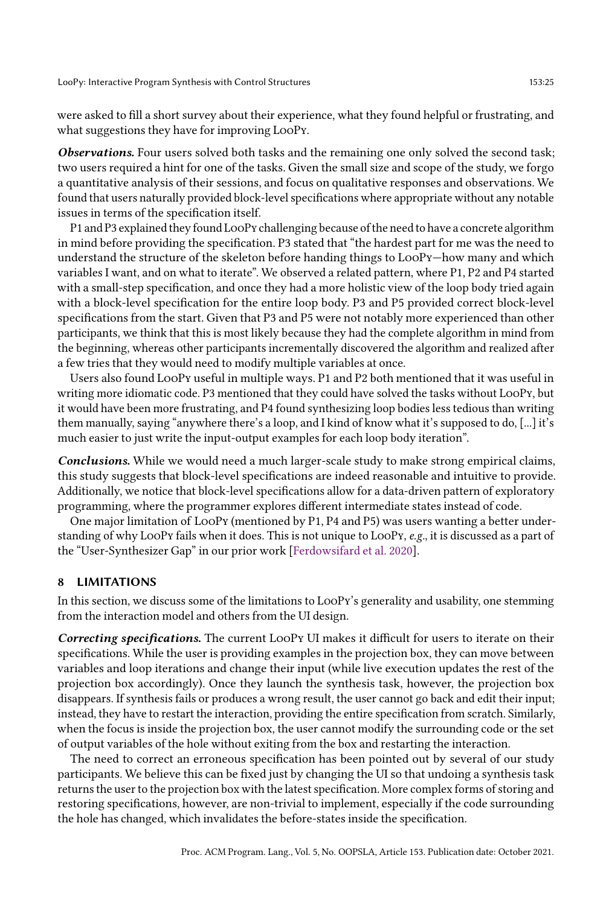were asked to fill a short survey about their experience, what they found helpful or frustrating, and what suggestions they have for improving LooPy.

Observations. Four users solved both tasks and the remaining one only solved the second task; two users required a hint for one of the tasks. Given the small size and scope of the study, we forgo a quantitative analysis of their sessions, and focus on qualitative responses and observations. We found that users naturally provided block-level specifications where appropriate without any notable issues in terms of the specification itself.

P1 and P3 explained they found LooPy challenging because of the need to have a concrete algorithm in mind before providing the specification. P3 stated that "the hardest part for me was the need to understand the structure of the skeleton before handing things to LooPy-how many and which variables I want, and on what to iteratež. We observed a related pattern, where P1, P2 and P4 started with a small-step specification, and once they had a more holistic view of the loop body tried again with a block-level specification for the entire loop body. P3 and P5 provided correct block-level specifications from the start. Given that P3 and P5 were not notably more experienced than other participants, we think that this is most likely because they had the complete algorithm in mind from the beginning, whereas other participants incrementally discovered the algorithm and realized after a few tries that they would need to modify multiple variables at once.

Users also found LooPy useful in multiple ways. P1 and P2 both mentioned that it was useful in writing more idiomatic code. P3 mentioned that they could have solved the tasks without LooPy, but it would have been more frustrating, and P4 found synthesizing loop bodies less tedious than writing them manually, saying "anywhere there's a loop, and I kind of know what it's supposed to do, [...] it's much easier to just write the input-output examples for each loop body iteration".

Conclusions. While we would need a much larger-scale study to make strong empirical claims, this study suggests that block-level specifications are indeed reasonable and intuitive to provide. Additionally, we notice that block-level specifications allow for a data-driven pattern of exploratory programming, where the programmer explores different intermediate states instead of code.

One major limitation of LooPy (mentioned by P1, P4 and P5) was users wanting a better understanding of why LooPy fails when it does. This is not unique to LooPy, e.g., it is discussed as a part of the "User-Synthesizer Gap" in our prior work [\[Ferdowsifard et al. 2020\]](#page-27-4).

#### 8 LIMITATIONS

In this section, we discuss some of the limitations to LooPy's generality and usability, one stemming from the interaction model and others from the UI design.

Correcting specifications. The current LooPy UI makes it difficult for users to iterate on their specifications. While the user is providing examples in the projection box, they can move between variables and loop iterations and change their input (while live execution updates the rest of the projection box accordingly). Once they launch the synthesis task, however, the projection box disappears. If synthesis fails or produces a wrong result, the user cannot go back and edit their input; instead, they have to restart the interaction, providing the entire specification from scratch. Similarly, when the focus is inside the projection box, the user cannot modify the surrounding code or the set of output variables of the hole without exiting from the box and restarting the interaction.

The need to correct an erroneous specification has been pointed out by several of our study participants. We believe this can be fixed just by changing the UI so that undoing a synthesis task returns the user to the projection box with the latest specification. More complex forms of storing and restoring specifications, however, are non-trivial to implement, especially if the code surrounding the hole has changed, which invalidates the before-states inside the specification.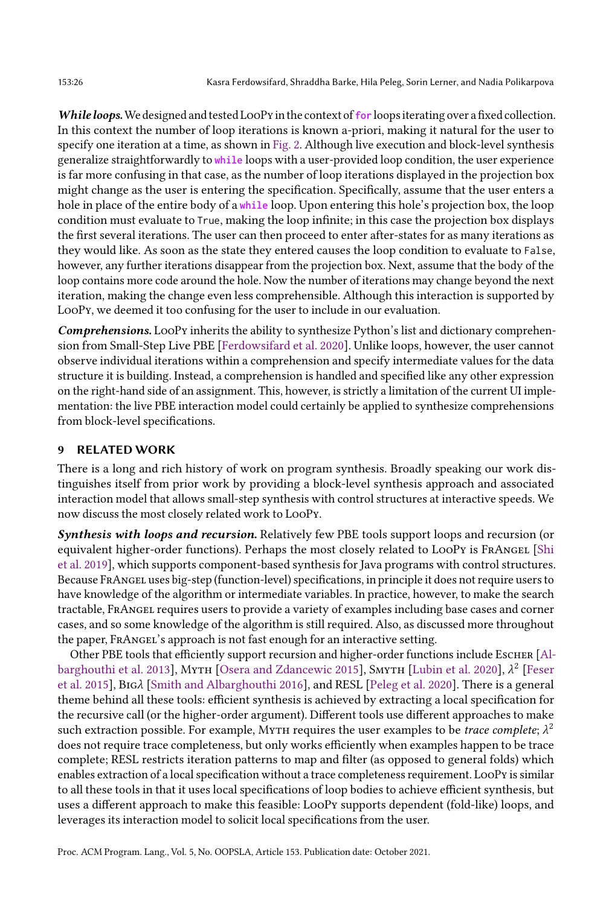While loops.We designed and tested LooPy in the context of **for** loops iterating over a fixed collection. In this context the number of loop iterations is known a-priori, making it natural for the user to specify one iteration at a time, as shown in [Fig. 2.](#page-5-0) Although live execution and block-level synthesis generalize straightforwardly to **while** loops with a user-provided loop condition, the user experience is far more confusing in that case, as the number of loop iterations displayed in the projection box might change as the user is entering the specification. Specifically, assume that the user enters a hole in place of the entire body of a **while** loop. Upon entering this hole's projection box, the loop condition must evaluate to True, making the loop infinite; in this case the projection box displays the first several iterations. The user can then proceed to enter after-states for as many iterations as they would like. As soon as the state they entered causes the loop condition to evaluate to False, however, any further iterations disappear from the projection box. Next, assume that the body of the loop contains more code around the hole. Now the number of iterations may change beyond the next iteration, making the change even less comprehensible. Although this interaction is supported by LooPy, we deemed it too confusing for the user to include in our evaluation.

Comprehensions. LooPy inherits the ability to synthesize Python's list and dictionary comprehension from Small-Step Live PBE [\[Ferdowsifard et al.](#page-27-4) [2020\]](#page-27-4). Unlike loops, however, the user cannot observe individual iterations within a comprehension and specify intermediate values for the data structure it is building. Instead, a comprehension is handled and specified like any other expression on the right-hand side of an assignment. This, however, is strictly a limitation of the current UI implementation: the live PBE interaction model could certainly be applied to synthesize comprehensions from block-level specifications.

# 9 RELATED WORK

There is a long and rich history of work on program synthesis. Broadly speaking our work distinguishes itself from prior work by providing a block-level synthesis approach and associated interaction model that allows small-step synthesis with control structures at interactive speeds. We now discuss the most closely related work to LooPy.

Synthesis with loops and recursion. Relatively few PBE tools support loops and recursion (or equivalent higher-order functions). Perhaps the most closely related to LOOPy is FRANGEL [\[Shi](#page-28-2) [et al.](#page-28-2) [2019\]](#page-28-2), which supports component-based synthesis for Java programs with control structures. Because FrAngel uses big-step (function-level) specifications, in principle it does not require users to have knowledge of the algorithm or intermediate variables. In practice, however, to make the search tractable, FrAngel requires users to provide a variety of examples including base cases and corner cases, and so some knowledge of the algorithm is still required. Also, as discussed more throughout the paper, FrAngel's approach is not fast enough for an interactive setting.

Other PBE tools that efficiently support recursion and higher-order functions include Escher [\[Al](#page-27-6)[barghouthi et al.](#page-27-6) [2013\]](#page-27-6), Мұтн [\[Osera and Zdancewic 2015\]](#page-28-9), Sмұтн [\[Lubin et al.](#page-28-1) [2020\]](#page-28-1),  $\lambda^2$  [\[Feser](#page-27-8) [et al.](#page-27-8) [2015\]](#page-27-8), BIG $\lambda$  [\[Smith and Albarghouthi 2016\]](#page-28-10), and RESL [\[Peleg et al.](#page-28-7) [2020\]](#page-28-7). There is a general theme behind all these tools: efficient synthesis is achieved by extracting a local specification for the recursive call (or the higher-order argument). Different tools use different approaches to make such extraction possible. For example, My $\tau$ н requires the user examples to be *trace complete*;  $\lambda^2$ does not require trace completeness, but only works efficiently when examples happen to be trace complete; RESL restricts iteration patterns to map and filter (as opposed to general folds) which enables extraction of a local specification without a trace completeness requirement. LooPy is similar to all these tools in that it uses local specifications of loop bodies to achieve efficient synthesis, but uses a different approach to make this feasible: LooPy supports dependent (fold-like) loops, and leverages its interaction model to solicit local specifications from the user.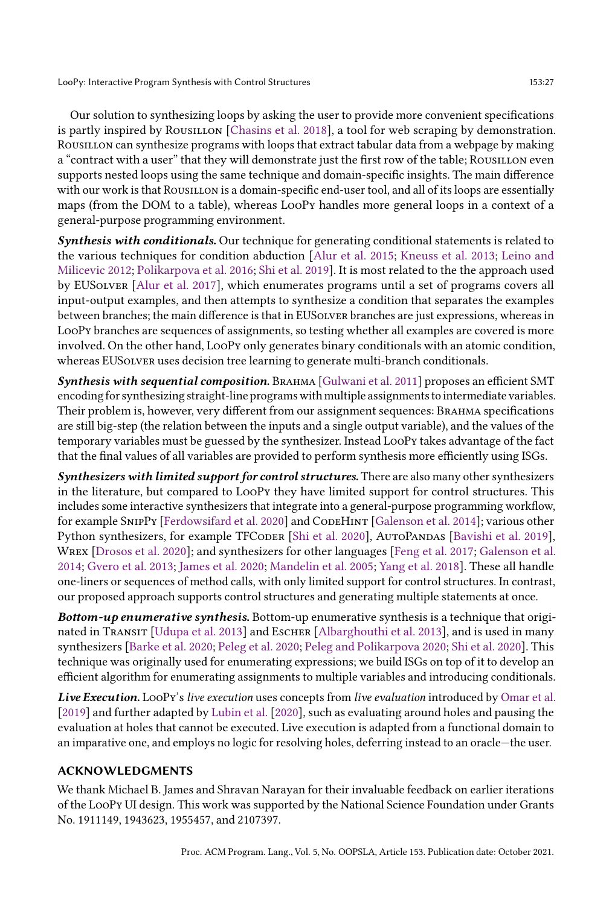Our solution to synthesizing loops by asking the user to provide more convenient specifications is partly inspired by ROUSILLON [\[Chasins et al.](#page-27-9) [2018\]](#page-27-9), a tool for web scraping by demonstration. Rousillon can synthesize programs with loops that extract tabular data from a webpage by making a "contract with a user" that they will demonstrate just the first row of the table; ROUSILLON even supports nested loops using the same technique and domain-specific insights. The main difference with our work is that ROUSILLON is a domain-specific end-user tool, and all of its loops are essentially maps (from the DOM to a table), whereas LooPy handles more general loops in a context of a general-purpose programming environment.

Synthesis with conditionals. Our technique for generating conditional statements is related to the various techniques for condition abduction [\[Alur et al.](#page-27-10) [2015;](#page-27-10) [Kneuss et al.](#page-27-11) [2013;](#page-27-11) [Leino and](#page-27-12) [Milicevic 2012;](#page-27-12) [Polikarpova et al.](#page-28-11) [2016;](#page-28-11) [Shi et al.](#page-28-2) [2019\]](#page-28-2). It is most related to the the approach used by EUSolver [\[Alur et al.](#page-27-7) [2017\]](#page-27-7), which enumerates programs until a set of programs covers all input-output examples, and then attempts to synthesize a condition that separates the examples between branches; the main difference is that in EUSolver branches are just expressions, whereas in LooPy branches are sequences of assignments, so testing whether all examples are covered is more involved. On the other hand, LooPy only generates binary conditionals with an atomic condition, whereas EUSOLVER uses decision tree learning to generate multi-branch conditionals.

Synthesis with sequential composition. BRAHMA [\[Gulwani et al.](#page-27-13) [2011\]](#page-27-13) proposes an efficient SMT encoding for synthesizing straight-line programs with multiple assignments to intermediate variables. Their problem is, however, very different from our assignment sequences: Brahma specifications are still big-step (the relation between the inputs and a single output variable), and the values of the temporary variables must be guessed by the synthesizer. Instead LooPy takes advantage of the fact that the final values of all variables are provided to perform synthesis more efficiently using ISGs.

Synthesizers with limited support for control structures. There are also many other synthesizers in the literature, but compared to LooPy they have limited support for control structures. This includes some interactive synthesizers that integrate into a general-purpose programming workflow, for example SNIPPY [\[Ferdowsifard et al.](#page-27-4) [2020\]](#page-27-4) and CODEHINT [\[Galenson et al.](#page-27-5) [2014\]](#page-27-5); various other Python synthesizers, for example TFCoDER [\[Shi et al.](#page-28-12) [2020\]](#page-28-12), AUTOPANDAS [\[Bavishi et al.](#page-27-2) [2019\]](#page-27-2), Wrex [\[Drosos et al.](#page-27-14) [2020\]](#page-27-14); and synthesizers for other languages [\[Feng et al.](#page-27-15) [2017;](#page-27-15) [Galenson et al.](#page-27-5) [2014;](#page-27-5) [Gvero et al.](#page-27-16) [2013;](#page-27-16) [James et al.](#page-27-17) [2020;](#page-27-17) [Mandelin et al.](#page-28-13) [2005;](#page-28-13) [Yang et al.](#page-28-14) [2018\]](#page-28-14). These all handle one-liners or sequences of method calls, with only limited support for control structures. In contrast, our proposed approach supports control structures and generating multiple statements at once.

Bottom-up enumerative synthesis. Bottom-up enumerative synthesis is a technique that origi-nated in TRANSIT [\[Udupa et al.](#page-28-8) [2013\]](#page-27-6) and Escher [\[Albarghouthi et al.](#page-27-6) 2013], and is used in many synthesizers [\[Barke et al.](#page-27-0) [2020;](#page-27-0) [Peleg et al.](#page-28-7) [2020;](#page-28-7) [Peleg and Polikarpova 2020;](#page-28-15) [Shi et al.](#page-28-12) [2020\]](#page-28-12). This technique was originally used for enumerating expressions; we build ISGs on top of it to develop an efficient algorithm for enumerating assignments to multiple variables and introducing conditionals.

Live Execution. LooPy's live execution uses concepts from live evaluation introduced by [Omar et al.](#page-28-16) [\[2019\]](#page-28-16) and further adapted by [Lubin et al.](#page-28-1) [\[2020\]](#page-28-1), such as evaluating around holes and pausing the evaluation at holes that cannot be executed. Live execution is adapted from a functional domain to an imparative one, and employs no logic for resolving holes, deferring instead to an oracle–the user.

# ACKNOWLEDGMENTS

We thank Michael B. James and Shravan Narayan for their invaluable feedback on earlier iterations of the LooPy UI design. This work was supported by the National Science Foundation under Grants No. 1911149, 1943623, 1955457, and 2107397.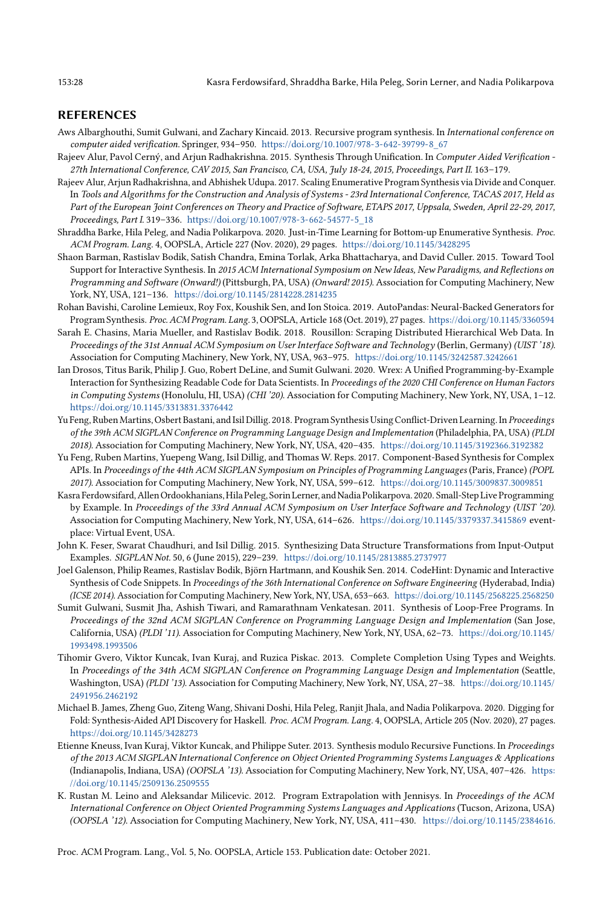#### REFERENCES

- <span id="page-27-6"></span>Aws Albarghouthi, Sumit Gulwani, and Zachary Kincaid. 2013. Recursive program synthesis. In International conference on computer aided verification. Springer, 934-950. [https://doi.org/10.1007/978-3-642-39799-8\\_67](https://doi.org/10.1007/978-3-642-39799-8_67)
- <span id="page-27-10"></span>Rajeev Alur, Pavol Cerný, and Arjun Radhakrishna. 2015. Synthesis Through Unification. In Computer Aided Verification - 27th International Conference, CAV 2015, San Francisco, CA, USA, July 18-24, 2015, Proceedings, Part II. 163-179.
- <span id="page-27-7"></span>Rajeev Alur, Arjun Radhakrishna, and Abhishek Udupa. 2017. Scaling Enumerative Program Synthesis via Divide and Conquer. In Tools and Algorithms for the Construction and Analysis of Systems - 23rd International Conference, TACAS 2017, Held as Part of the European Joint Conferences on Theory and Practice of Software, ETAPS 2017, Uppsala, Sweden, April 22-29, 2017, Proceedings, Part I. 319-336. [https://doi.org/10.1007/978-3-662-54577-5\\_18](https://doi.org/10.1007/978-3-662-54577-5_18)
- <span id="page-27-0"></span>Shraddha Barke, Hila Peleg, and Nadia Polikarpova. 2020. Just-in-Time Learning for Bottom-up Enumerative Synthesis. Proc. ACM Program. Lang. 4, OOPSLA, Article 227 (Nov. 2020), 29 pages. <https://doi.org/10.1145/3428295>
- <span id="page-27-1"></span>Shaon Barman, Rastislav Bodik, Satish Chandra, Emina Torlak, Arka Bhattacharya, and David Culler. 2015. Toward Tool Support for Interactive Synthesis. In 2015 ACM International Symposium on New Ideas, New Paradigms, and Reflections on Programming and Software (Onward!) (Pittsburgh, PA, USA) (Onward! 2015). Association for Computing Machinery, New York, NY, USA, 121-136. <https://doi.org/10.1145/2814228.2814235>
- <span id="page-27-2"></span>Rohan Bavishi, Caroline Lemieux, Roy Fox, Koushik Sen, and Ion Stoica. 2019. AutoPandas: Neural-Backed Generators for Program Synthesis. Proc. ACM Program. Lang. 3, OOPSLA, Article 168 (Oct. 2019), 27 pages. <https://doi.org/10.1145/3360594>
- <span id="page-27-9"></span>Sarah E. Chasins, Maria Mueller, and Rastislav Bodik. 2018. Rousillon: Scraping Distributed Hierarchical Web Data. In Proceedings of the 31st Annual ACM Symposium on User Interface Software and Technology (Berlin, Germany) (UIST '18). Association for Computing Machinery, New York, NY, USA, 963-975. <https://doi.org/10.1145/3242587.3242661>
- <span id="page-27-14"></span>Ian Drosos, Titus Barik, Philip J. Guo, Robert DeLine, and Sumit Gulwani. 2020. Wrex: A Unified Programming-by-Example Interaction for Synthesizing Readable Code for Data Scientists. In Proceedings of the 2020 CHI Conference on Human Factors in Computing Systems (Honolulu, HI, USA) (CHI '20). Association for Computing Machinery, New York, NY, USA, 1-12. <https://doi.org/10.1145/3313831.3376442>
- <span id="page-27-3"></span>Yu Feng, Ruben Martins, Osbert Bastani, and Isil Dillig. 2018. Program Synthesis Using Conflict-Driven Learning. In Proceedings of the 39th ACM SIGPLAN Conference on Programming Language Design and Implementation (Philadelphia, PA, USA) (PLDI 2018). Association for Computing Machinery, New York, NY, USA, 420-435. <https://doi.org/10.1145/3192366.3192382>
- <span id="page-27-15"></span>Yu Feng, Ruben Martins, Yuepeng Wang, Isil Dillig, and Thomas W. Reps. 2017. Component-Based Synthesis for Complex APIs. In Proceedings of the 44th ACM SIGPLAN Symposium on Principles of Programming Languages (Paris, France) (POPL 2017). Association for Computing Machinery, New York, NY, USA, 599-612. <https://doi.org/10.1145/3009837.3009851>
- <span id="page-27-4"></span>Kasra Ferdowsifard,Allen Ordookhanians, Hila Peleg, Sorin Lerner, andNadia Polikarpova. 2020. Small-Step Live Programming by Example. In Proceedings of the 33rd Annual ACM Symposium on User Interface Software and Technology (UIST '20). Association for Computing Machinery, New York, NY, USA, 614-626. <https://doi.org/10.1145/3379337.3415869> eventplace: Virtual Event, USA.
- <span id="page-27-8"></span>John K. Feser, Swarat Chaudhuri, and Isil Dillig. 2015. Synthesizing Data Structure Transformations from Input-Output Examples. SIGPLAN Not. 50, 6 (June 2015), 229-239. <https://doi.org/10.1145/2813885.2737977>
- <span id="page-27-5"></span>Joel Galenson, Philip Reames, Rastislav Bodik, Björn Hartmann, and Koushik Sen. 2014. CodeHint: Dynamic and Interactive Synthesis of Code Snippets. In Proceedings of the 36th International Conference on Software Engineering (Hyderabad, India) (ICSE 2014). Association for Computing Machinery, New York, NY, USA, 653-663. <https://doi.org/10.1145/2568225.2568250>
- <span id="page-27-13"></span>Sumit Gulwani, Susmit Jha, Ashish Tiwari, and Ramarathnam Venkatesan. 2011. Synthesis of Loop-Free Programs. In Proceedings of the 32nd ACM SIGPLAN Conference on Programming Language Design and Implementation (San Jose, California, USA) (PLDI '11). Association for Computing Machinery, New York, NY, USA, 62-73. [https://doi.org/10.1145/](https://doi.org/10.1145/1993498.1993506) [1993498.1993506](https://doi.org/10.1145/1993498.1993506)
- <span id="page-27-16"></span>Tihomir Gvero, Viktor Kuncak, Ivan Kuraj, and Ruzica Piskac. 2013. Complete Completion Using Types and Weights. In Proceedings of the 34th ACM SIGPLAN Conference on Programming Language Design and Implementation (Seattle, Washington, USA) (PLDI '13). Association for Computing Machinery, New York, NY, USA, 27-38. [https://doi.org/10.1145/](https://doi.org/10.1145/2491956.2462192) [2491956.2462192](https://doi.org/10.1145/2491956.2462192)
- <span id="page-27-17"></span>Michael B. James, Zheng Guo, Ziteng Wang, Shivani Doshi, Hila Peleg, Ranjit Jhala, and Nadia Polikarpova. 2020. Digging for Fold: Synthesis-Aided API Discovery for Haskell. Proc. ACM Program. Lang. 4, OOPSLA, Article 205 (Nov. 2020), 27 pages. <https://doi.org/10.1145/3428273>
- <span id="page-27-11"></span>Etienne Kneuss, Ivan Kuraj, Viktor Kuncak, and Philippe Suter. 2013. Synthesis modulo Recursive Functions. In Proceedings of the 2013 ACM SIGPLAN International Conference on Object Oriented Programming Systems Languages & Applications (Indianapolis, Indiana, USA) (OOPSLA '13). Association for Computing Machinery, New York, NY, USA, 407-426. [https:](https://doi.org/10.1145/2509136.2509555) [//doi.org/10.1145/2509136.2509555](https://doi.org/10.1145/2509136.2509555)
- <span id="page-27-12"></span>K. Rustan M. Leino and Aleksandar Milicevic. 2012. Program Extrapolation with Jennisys. In Proceedings of the ACM International Conference on Object Oriented Programming Systems Languages and Applications (Tucson, Arizona, USA) (OOPSLA '12). Association for Computing Machinery, New York, NY, USA, 411-430. [https://doi.org/10.1145/2384616.](https://doi.org/10.1145/2384616.2384646)

[Proc. ACM Program. Lang., Vol. 5, No. OOPSLA, Article 153. Publication date: October 2021.](https://doi.org/10.1145/2384616.2384646)